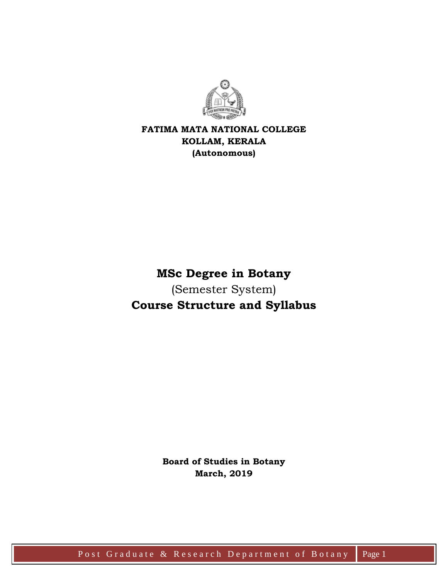

## **FATIMA MATA NATIONAL COLLEGE KOLLAM, KERALA (Autonomous)**

# **MSc Degree in Botany** (Semester System) **Course Structure and Syllabus**

**Board of Studies in Botany March, 2019**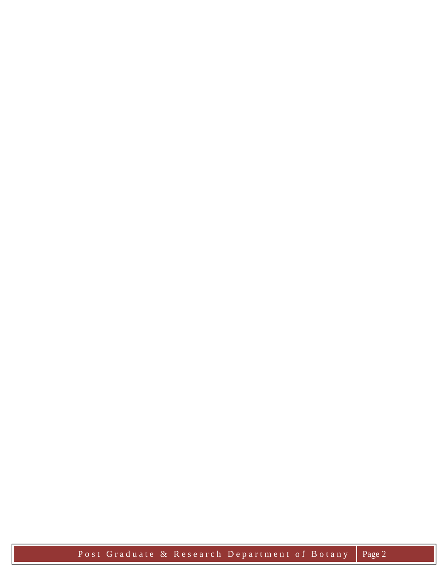Post Graduate & Research Department of Botany Page 2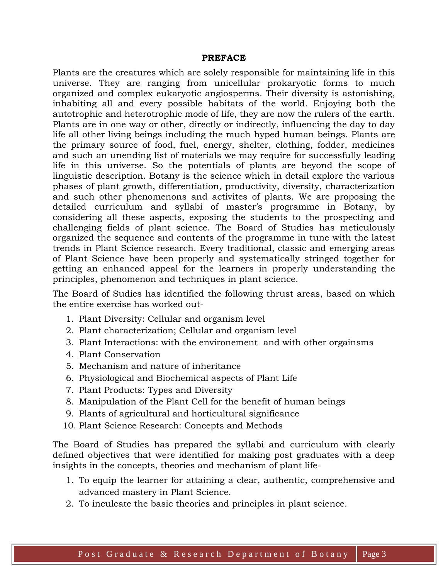#### **PREFACE**

Plants are the creatures which are solely responsible for maintaining life in this universe. They are ranging from unicellular prokaryotic forms to much organized and complex eukaryotic angiosperms. Their diversity is astonishing, inhabiting all and every possible habitats of the world. Enjoying both the autotrophic and heterotrophic mode of life, they are now the rulers of the earth. Plants are in one way or other, directly or indirectly, influencing the day to day life all other living beings including the much hyped human beings. Plants are the primary source of food, fuel, energy, shelter, clothing, fodder, medicines and such an unending list of materials we may require for successfully leading life in this universe. So the potentials of plants are beyond the scope of linguistic description. Botany is the science which in detail explore the various phases of plant growth, differentiation, productivity, diversity, characterization and such other phenomenons and activites of plants. We are proposing the detailed curriculum and syllabi of master's programme in Botany, by considering all these aspects, exposing the students to the prospecting and challenging fields of plant science. The Board of Studies has meticulously organized the sequence and contents of the programme in tune with the latest trends in Plant Science research. Every traditional, classic and emerging areas of Plant Science have been properly and systematically stringed together for getting an enhanced appeal for the learners in properly understanding the principles, phenomenon and techniques in plant science.

The Board of Sudies has identified the following thrust areas, based on which the entire exercise has worked out-

- 1. Plant Diversity: Cellular and organism level
- 2. Plant characterization; Cellular and organism level
- 3. Plant Interactions: with the environement and with other orgainsms
- 4. Plant Conservation

E

- 5. Mechanism and nature of inheritance
- 6. Physiological and Biochemical aspects of Plant Life
- 7. Plant Products: Types and Diversity
- 8. Manipulation of the Plant Cell for the benefit of human beings
- 9. Plants of agricultural and horticultural significance
- 10. Plant Science Research: Concepts and Methods

The Board of Studies has prepared the syllabi and curriculum with clearly defined objectives that were identified for making post graduates with a deep insights in the concepts, theories and mechanism of plant life-

- 1. To equip the learner for attaining a clear, authentic, comprehensive and advanced mastery in Plant Science.
- 2. To inculcate the basic theories and principles in plant science.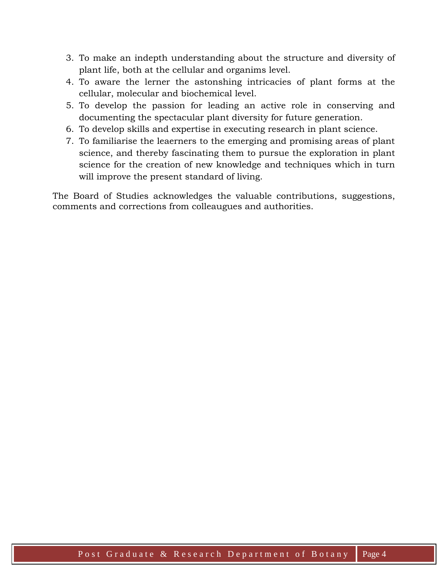- 3. To make an indepth understanding about the structure and diversity of plant life, both at the cellular and organims level.
- 4. To aware the lerner the astonshing intricacies of plant forms at the cellular, molecular and biochemical level.
- 5. To develop the passion for leading an active role in conserving and documenting the spectacular plant diversity for future generation.
- 6. To develop skills and expertise in executing research in plant science.
- 7. To familiarise the leaerners to the emerging and promising areas of plant science, and thereby fascinating them to pursue the exploration in plant science for the creation of new knowledge and techniques which in turn will improve the present standard of living.

The Board of Studies acknowledges the valuable contributions, suggestions, comments and corrections from colleaugues and authorities.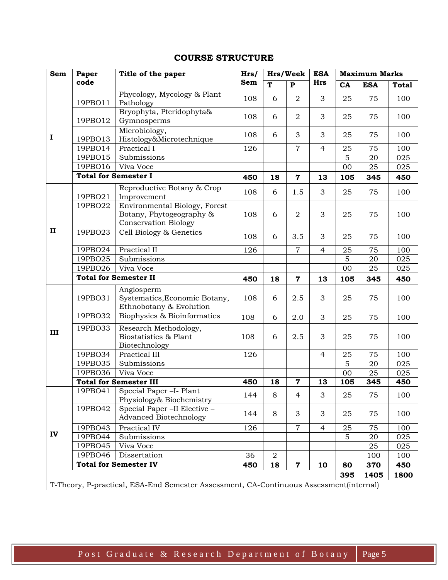## **COURSE STRUCTURE**

| Sem          | Paper   | Title of the paper                                                                     | Hrs/ |                         | Hrs/Week       | <b>ESA</b>     |            | <b>Maximum Marks</b> |              |  |
|--------------|---------|----------------------------------------------------------------------------------------|------|-------------------------|----------------|----------------|------------|----------------------|--------------|--|
|              | code    |                                                                                        | Sem  | $\overline{\mathbf{T}}$ | $\mathbf{P}$   | <b>Hrs</b>     | CA         | <b>ESA</b>           | <b>Total</b> |  |
|              | 19PBO11 | Phycology, Mycology & Plant<br>Pathology                                               | 108  | 6                       | $\overline{2}$ | 3              | 25         | 75                   | 100          |  |
|              | 19PBO12 | Bryophyta, Pteridophyta&<br>Gymnosperms                                                | 108  | 6                       | $\overline{2}$ | 3              | 25         | 75                   | 100          |  |
| $\mathbf I$  | 19PBO13 | Microbiology,<br>Histology&Microtechnique                                              | 108  | 6                       | 3              | 3              | 25         | 75                   | 100          |  |
|              | 19PBO14 | Practical I                                                                            | 126  |                         | $\overline{7}$ | $\overline{4}$ | 25         | 75                   | 100          |  |
|              | 19PBO15 | Submissions                                                                            |      |                         |                |                | 5          | 20                   | 025          |  |
|              | 19PBO16 | Viva Voce                                                                              |      |                         |                |                | 00         | 25                   | 025          |  |
|              |         | <b>Total for Semester I</b>                                                            | 450  | 18                      | $\mathbf 7$    | 13             | 105        | 345                  | 450          |  |
|              | 19PBO21 | Reproductive Botany & Crop<br>Improvement                                              | 108  | 6                       | 1.5            | 3              | 25         | 75                   | 100          |  |
|              | 19PBO22 | Environmental Biology, Forest<br>Botany, Phytogeography &<br>Conservation Biology      | 108  | 6                       | $\overline{2}$ | 3              | 25         | 75                   | 100          |  |
| $\mathbf{I}$ | 19PBO23 | Cell Biology & Genetics                                                                | 108  | 6                       | 3.5            | 3              | 25         | 75                   | 100          |  |
|              | 19PBO24 | Practical II                                                                           | 126  |                         | $\overline{7}$ | $\overline{4}$ | 25         | 75                   | 100          |  |
|              | 19PBO25 | Submissions                                                                            |      |                         |                |                | $\sqrt{5}$ | 20                   | 025          |  |
|              | 19PBO26 | Viva Voce                                                                              |      |                         |                |                | 00         | 25                   | 025          |  |
|              |         | <b>Total for Semester II</b>                                                           | 450  | 18                      | 7              | 13             | 105        | 345                  | 450          |  |
|              | 19PBO31 | Angiosperm<br>Systematics, Economic Botany,<br>Ethnobotany & Evolution                 | 108  | 6                       | 2.5            | 3              | 25         | 75                   | 100          |  |
|              | 19PBO32 | Biophysics & Bioinformatics                                                            | 108  | 6                       | 2.0            | 3              | 25         | 75                   | 100          |  |
| Ш            | 19PBO33 | Research Methodology,<br>Biostatistics & Plant<br>Biotechnology                        | 108  | 6                       | 2.5            | 3              | 25         | 75                   | 100          |  |
|              | 19PBO34 | Practical III                                                                          | 126  |                         |                | $\overline{4}$ | 25         | 75                   | 100          |  |
|              | 19PBO35 | Submissions                                                                            |      |                         |                |                | 5          | 20                   | 025          |  |
|              | 19PBO36 | Viva Voce                                                                              |      |                         |                |                | 00         | 25                   | 025          |  |
|              |         | <b>Total for Semester III</b>                                                          | 450  | 18                      | $\overline{7}$ | 13             | 105        | 345                  | 450          |  |
|              | 19PBO41 | Special Paper -I- Plant<br>Physiology& Biochemistry                                    | 144  | 8                       | $\overline{4}$ | 3              | 25         | 75                   | 100          |  |
|              | 19PBO42 | Special Paper -II Elective -<br><b>Advanced Biotechnology</b>                          | 144  | 8                       | 3              | 3              | 25         | 75                   | 100          |  |
|              | 19PBO43 | Practical IV                                                                           | 126  |                         | $\overline{7}$ | $\overline{4}$ | 25         | 75                   | 100          |  |
| IV           | 19PBO44 | Submissions                                                                            |      |                         |                |                | 5          | 20                   | 025          |  |
|              | 19PBO45 | Viva Voce                                                                              |      |                         |                |                |            | 25                   | 025          |  |
|              | 19PBO46 | Dissertation                                                                           | 36   | $\overline{a}$          |                |                |            | 100                  | 100          |  |
|              |         | <b>Total for Semester IV</b>                                                           | 450  | 18                      | $\mathbf 7$    | 10             | 80         | 370                  | 450          |  |
|              |         |                                                                                        |      |                         |                |                | 395        | 1405                 | 1800         |  |
|              |         | T-Theory, P-practical, ESA-End Semester Assessment, CA-Continuous Assessment(internal) |      |                         |                |                |            |                      |              |  |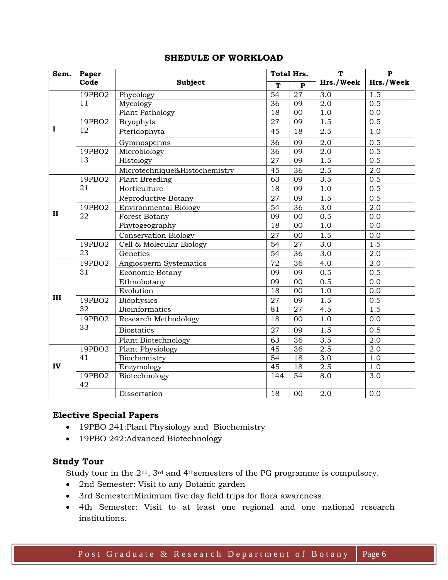| Paper<br>Sem. |                          |                               |                 | <b>Total Hrs.</b> | $\overline{\mathbf{T}}$ | $\mathbf{P}$     |  |
|---------------|--------------------------|-------------------------------|-----------------|-------------------|-------------------------|------------------|--|
|               | Code                     | <b>Subject</b>                |                 | ${\bf P}$         | Hrs./Week               | Hrs./Week        |  |
|               | 19PBO2                   | Phycology                     | $\overline{54}$ | $\overline{27}$   | 3.0                     | 1.5              |  |
|               | 11                       | Mycology                      | 36              | 09                | 2.0                     | 0.5              |  |
|               |                          | Plant Pathology               | 18              | 00                | 1.0                     | 0.0              |  |
|               | 19PBO <sub>2</sub>       | Bryophyta                     | 27              | 09                | 1.5                     | 0.5              |  |
| I             | 12                       | Pteridophyta                  | $\overline{45}$ | 18                | $\overline{2.5}$        | 1.0              |  |
|               |                          | Gymnosperms                   | 36              | 09                | 2.0                     | 0.5              |  |
|               | 19PBO <sub>2</sub>       | Microbiology                  | 36              | 09                | 2.0                     | 0.5              |  |
|               | 13                       | Histology                     | 27              | 09                | $\overline{1.5}$        | $\overline{0.5}$ |  |
|               |                          | Microtechnique&Histochemistry | $\overline{45}$ | 36                | 2.5                     | 2.0              |  |
|               | 19PBO <sub>2</sub>       | Plant Breeding                | 63              | 09                | 3.5                     | 0.5              |  |
|               | 21                       | Horticulture                  | 18              | $\overline{09}$   | $1.\overline{0}$        | $\overline{0.5}$ |  |
|               |                          | Reproductive Botany           | $\overline{27}$ | $\overline{09}$   | 1.5                     | $0.\overline{5}$ |  |
|               | 19PBO <sub>2</sub>       | <b>Environmental Biology</b>  | $\overline{54}$ | 36                | 3.0                     | 2.0              |  |
| $\mathbf{I}$  | 22                       | Forest Botany                 | $\overline{09}$ | 00                | $0.\overline{5}$        | 0.0              |  |
|               |                          | Phytogeography                | $\overline{18}$ | 00                | 1.0                     | 0.0              |  |
|               |                          | <b>Conservation Biology</b>   | 27              | 00                | 1.5                     | 0.0              |  |
|               | 19PBO <sub>2</sub>       | Cell & Molecular Biology      | 54              | 27                | 3.0                     | 1.5              |  |
|               | 23                       | Genetics                      | 54              | 36                | 3.0                     | 2.0              |  |
|               | 19PBO <sub>2</sub>       | Angiosperm Systematics        | 72              | $\overline{36}$   | $\overline{4.0}$        | $\overline{2.0}$ |  |
|               | 31                       | <b>Economic Botany</b>        | 09              | 09                | 0.5                     | 0.5              |  |
|               |                          | Ethnobotany                   | $\overline{09}$ | 00                | 0.5                     | 0.0              |  |
|               |                          | Evolution                     | $\overline{18}$ | 00                | 1.0                     | 0.0              |  |
| III           | 19PBO <sub>2</sub>       | <b>Biophysics</b>             | $\overline{27}$ | 09                | 1.5                     | 0.5              |  |
|               | 32                       | <b>Bioinformatics</b>         | 81              | $\overline{27}$   | $\overline{4.5}$        | $\overline{1.5}$ |  |
|               | 19PBO <sub>2</sub>       | <b>Research Methodology</b>   | 18              | 00                | 1.0                     | 0.0              |  |
|               | 33                       | <b>Biostatics</b>             | $\overline{27}$ | 09                | 1.5                     | 0.5              |  |
|               |                          | Plant Biotechnology           | 63              | 36                | 3.5                     | 2.0              |  |
|               | 19PBO2                   | Plant Physiology              | 45              | 36                | 2.5                     | 2.0              |  |
|               | 41                       | Biochemistry                  | 54              | $\overline{18}$   | 3.0                     | 1.0              |  |
| IV            |                          | Enzymology                    | 45              | $\overline{18}$   | $\overline{2.5}$        | $1.0\,$          |  |
|               | 19PBO <sub>2</sub><br>42 | Biotechnology                 | 144             | $\overline{54}$   | 8.0                     | 3.0              |  |
|               |                          | Dissertation                  | 18              | 00                | 2.0                     | 0.0              |  |

## **SHEDULE OF WORKLOAD**

#### **Elective Special Papers**

- 19PBO 241:Plant Physiology and Biochemistry
- 19PBO 242:Advanced Biotechnology

#### **Study Tour**

E

Study tour in the 2nd, 3rd and 4thsemesters of the PG programme is compulsory.

- 2nd Semester: Visit to any Botanic garden
- 3rd Semester:Minimum five day field trips for flora awareness.
- 4th Semester: Visit to at least one regional and one national research institutions.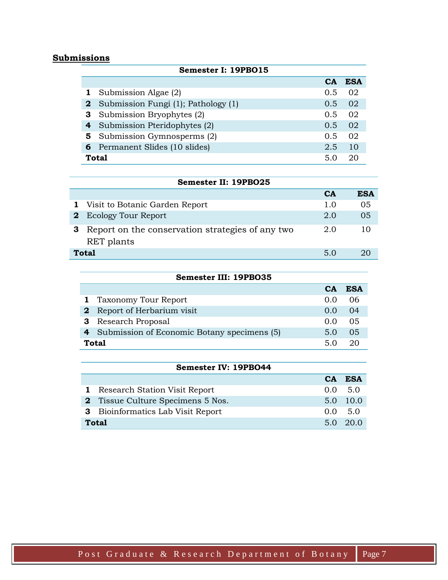## **Submissions**

|   | Semester I: 19PBO15                          |           |          |
|---|----------------------------------------------|-----------|----------|
|   |                                              | <b>CA</b> | ESA      |
|   | <b>1</b> Submission Algae (2)                | 0.5       | $\Omega$ |
|   | <b>2</b> Submission Fungi (1); Pathology (1) | 0.5       | $\Omega$ |
|   | <b>3</b> Submission Bryophytes (2)           | 0.5       | 02       |
|   | 4 Submission Pteridophytes (2)               | 0.5       | $\Omega$ |
|   | <b>5</b> Submission Gymnosperms (2)          | 0.5       | 02       |
| 6 | Permanent Slides (10 slides)                 | 2.5       | 10       |
|   | Total                                        | 5.0       |          |

|   | Semester II: 19PBO25                                           |           |     |
|---|----------------------------------------------------------------|-----------|-----|
|   |                                                                | <b>CA</b> | ESA |
|   | <b>1</b> Visit to Botanic Garden Report                        | 1.0       | 05  |
|   | <b>Ecology Tour Report</b>                                     | 2.0       | 0.5 |
| 3 | Report on the conservation strategies of any two<br>RET plants | 2.0       | 10  |
|   | Total                                                          | 5.0       |     |

| Semester III: 19PB035                         |           |          |
|-----------------------------------------------|-----------|----------|
|                                               | <b>CA</b> | ESA      |
| <b>1</b> Taxonomy Tour Report                 | (0.0)     | റ6       |
| <b>2</b> Report of Herbarium visit            | (0.0)     | $\Omega$ |
| <b>3</b> Research Proposal                    | (1.0)     | 0.5      |
| 4 Submission of Economic Botany specimens (5) | 5(0)      | 05       |
| Total                                         |           |          |

| Semester IV: 19PBO44                     |                |
|------------------------------------------|----------------|
|                                          | CA ESA         |
| <b>1</b> Research Station Visit Report   | $0.0\quad 5.0$ |
| <b>2</b> Tissue Culture Specimens 5 Nos. | 5.0 10.0       |
| <b>3</b> Bioinformatics Lab Visit Report | $0.0\quad 5.0$ |
| Total                                    | $5.0\quad20.0$ |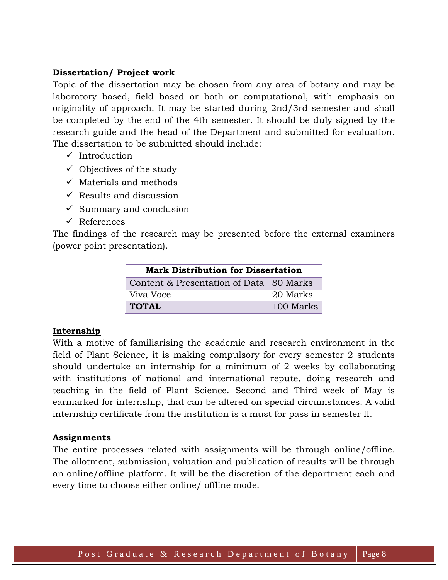## **Dissertation/ Project work**

Topic of the dissertation may be chosen from any area of botany and may be laboratory based, field based or both or computational, with emphasis on originality of approach. It may be started during 2nd/3rd semester and shall be completed by the end of the 4th semester. It should be duly signed by the research guide and the head of the Department and submitted for evaluation. The dissertation to be submitted should include:

- ✓ Introduction
- $\checkmark$  Objectives of the study
- $\checkmark$  Materials and methods
- $\checkmark$  Results and discussion
- $\checkmark$  Summary and conclusion
- ✓ References

The findings of the research may be presented before the external examiners (power point presentation).

| <b>Mark Distribution for Dissertation</b> |           |
|-------------------------------------------|-----------|
| Content & Presentation of Data 80 Marks   |           |
| Viva Voce                                 | 20 Marks  |
| <b>TOTAL</b>                              | 100 Marks |

## **Internship**

With a motive of familiarising the academic and research environment in the field of Plant Science, it is making compulsory for every semester 2 students should undertake an internship for a minimum of 2 weeks by collaborating with institutions of national and international repute, doing research and teaching in the field of Plant Science. Second and Third week of May is earmarked for internship, that can be altered on special circumstances. A valid internship certificate from the institution is a must for pass in semester II.

## **Assignments**

E

The entire processes related with assignments will be through online/offline. The allotment, submission, valuation and publication of results will be through an online/offline platform. It will be the discretion of the department each and every time to choose either online/ offline mode.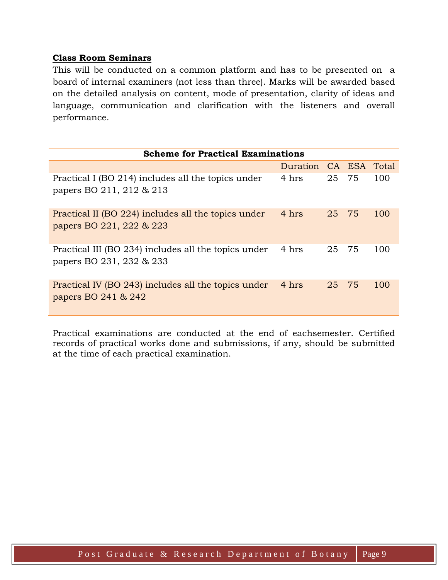## **Class Room Seminars**

E

This will be conducted on a common platform and has to be presented on a board of internal examiners (not less than three). Marks will be awarded based on the detailed analysis on content, mode of presentation, clarity of ideas and language, communication and clarification with the listeners and overall performance.

| <b>Scheme for Practical Examinations</b>                                         |                       |       |  |     |
|----------------------------------------------------------------------------------|-----------------------|-------|--|-----|
|                                                                                  | Duration CA ESA Total |       |  |     |
| Practical I (BO 214) includes all the topics under<br>papers BO 211, 212 & 213   | 4 hrs                 | 25 75 |  | 100 |
| Practical II (BO 224) includes all the topics under<br>papers BO 221, 222 & 223  | 4 hrs                 | 25 75 |  | 100 |
| Practical III (BO 234) includes all the topics under<br>papers BO 231, 232 & 233 | 4 hrs                 | 25 75 |  | 100 |
| Practical IV (BO 243) includes all the topics under<br>papers BO 241 & 242       | 4 hrs                 | 25 75 |  | 100 |

Practical examinations are conducted at the end of eachsemester. Certified records of practical works done and submissions, if any, should be submitted at the time of each practical examination.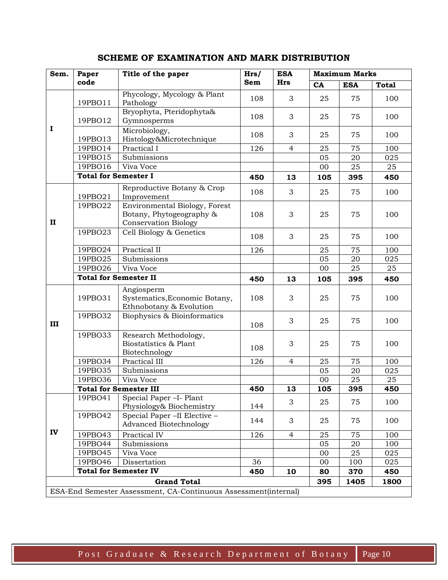#### **Sem. Paper code Title of the paper Hrs/ Sem ESA Hrs Maximum Marks CA ESA Total I** 19PBO11 Phycology, Mycology & Plant Pathology, Mycology & Fiam  $\begin{array}{|c|c|c|c|c|c|c|c|c|} \hline \end{array}$  108  $\begin{array}{|c|c|c|c|c|c|c|c|} \hline \end{array}$  3  $\begin{array}{|c|c|c|c|c|c|c|c|} \hline \end{array}$  25  $\begin{array}{|c|c|c|c|c|c|} \hline \end{array}$  100 19PBO12 Bryophyta, Pteridophyta& Bryophyta, Flehdophytac  $\begin{vmatrix} 108 & 3 & 25 \\ 400 & 25 & 75 \end{vmatrix}$  100 19PBO13 Microbiology, MICTODIOIOgy,<br>Histology&Microtechnique 108 3 25 75 100 19PBO14 | Practical I 126 | 4 | 25 | 75 | 100 19PBO15 Submissions 19PBO15 20 025 19PBO16 Viva Voce 25 25 25 **Total for Semester I 450 13 105 395 450 II** 19PBO21 Reproductive Botany & Crop  $\frac{100}{25}$  The Exeption European Fig. 108  $\begin{bmatrix} 3 & 25 & 75 \end{bmatrix}$  100 19PBO22 Environmental Biology, Forest Botany, Phytogeography & Conservation Biology 108 | 3 | 25 | 75 | 100 19PBO23 Cell Biology & Genetics 108 <sup>3</sup> <sup>25</sup> <sup>75</sup> <sup>100</sup> 19PBO24 | Practical II 126 | 126 | 25 | 75 | 100 19PBO25 Submissions 19PBO25 20 025 19PBO26 Viva Voce 00 25 25 **Total for Semester II 450 13 105 395 450 III** 19PBO31 Angiosperm Systematics,Economic Botany, Ethnobotany & Evolution 108 | 3 | 25 | 75 | 100 19PBO32 Biophysics & Bioinformatics 108 3 25 75 100 19PBO33 Research Methodology, Biostatistics & Plant Biostatistics & Plant  $\begin{array}{|c|c|c|c|c|c|}\n\hline\n\text{Biotechnology} & & & 108 & & 3 & 25 & 75 & 100\n\end{array}$ 19PBO34 Practical III 126 4 25 75 100 19PBO35 Submissions 05 20 025<br>19PBO36 Viva Voce 00 25 25 19PBO36 Viva Voce 00 25 25 **Total for Semester III 450 13 105 395 450 IV** 19PBO41 Special Paper –I- Plant Special Faper --- Frant<br>Physiology& Biochemistry 144 3 25 75 100 19PBO42 Special Paper –II Elective –  $\frac{100}{\text{Advanced Biotechnology}}$  144 3 25 75 100 19PBO43 Practical IV 126 4 25 75 100 19PBO44 Submissions 1 05 20 100 19PBO45 Viva Voce 00 25 025 19PBO46 Dissertation 36 00 100 025 **Total for Semester IV 450 10 80 370 450 Grand Total 395 1405 1800** ESA-End Semester Assessment, CA-Continuous Assessment(internal)

#### **SCHEME OF EXAMINATION AND MARK DISTRIBUTION**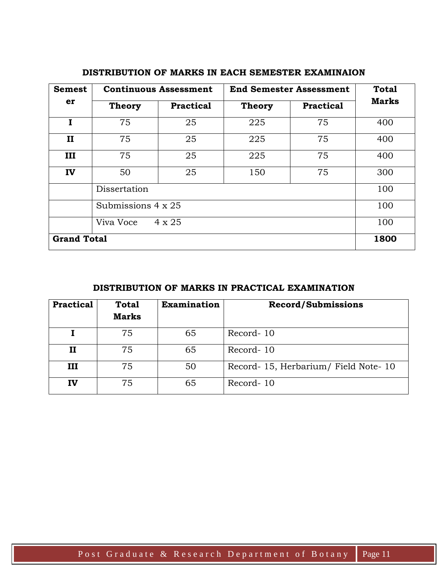| <b>Semest</b>      |                    | <b>Continuous Assessment</b><br><b>End Semester Assessment</b> |               |                  | <b>Total</b> |
|--------------------|--------------------|----------------------------------------------------------------|---------------|------------------|--------------|
| er                 | <b>Theory</b>      | <b>Practical</b>                                               | <b>Theory</b> | <b>Practical</b> | <b>Marks</b> |
| I                  | 75                 | 25                                                             | 225           | 75               | 400          |
| $\mathbf{I}$       | 75                 | 25                                                             | 225           | 75               | 400          |
| III                | 75                 | 25                                                             | 225           | 75               | 400          |
| IV                 | 50                 | 25                                                             | 150           | 75               | 300          |
|                    | Dissertation       |                                                                |               |                  | 100          |
|                    | Submissions 4 x 25 |                                                                |               |                  | 100          |
|                    | Viva Voce          | $4 \times 25$                                                  |               |                  | 100          |
| <b>Grand Total</b> |                    |                                                                |               |                  | 1800         |

#### **DISTRIBUTION OF MARKS IN EACH SEMESTER EXAMINAION**

## **DISTRIBUTION OF MARKS IN PRACTICAL EXAMINATION**

| <b>Practical</b> | <b>Total</b><br><b>Marks</b> | <b>Examination</b> | <b>Record/Submissions</b>           |
|------------------|------------------------------|--------------------|-------------------------------------|
|                  | 75                           | 65                 | Record-10                           |
| п                | 75                           | 65                 | Record-10                           |
| ш                | 75                           | 50                 | Record-15, Herbarium/ Field Note-10 |
| ΙV               | 75                           | 65                 | Record-10                           |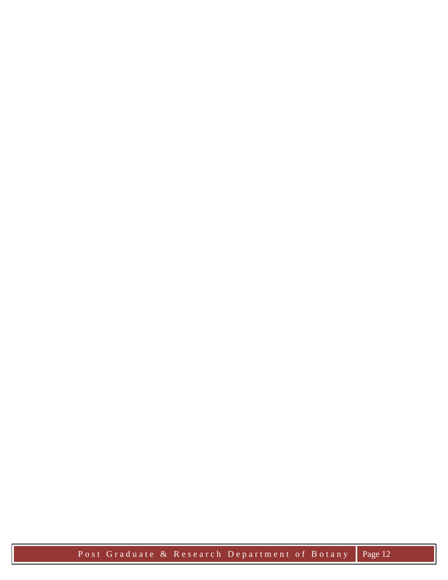Post Graduate & Research Department of Botany Page 12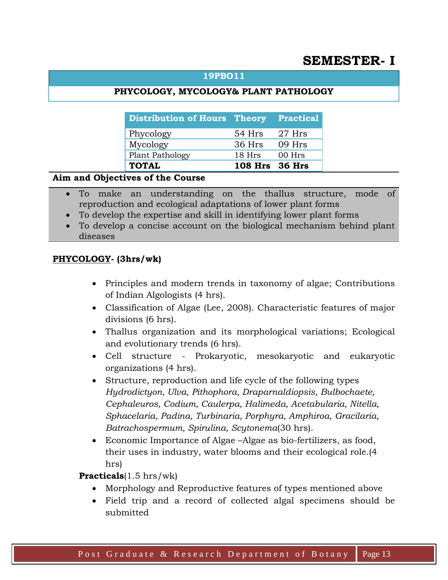# **SEMESTER- I**

#### **19PBO11**

#### **PHYCOLOGY, MYCOLOGY& PLANT PATHOLOGY**

| <b>Distribution of Hours Theory</b> |                | <b>Practical</b> |
|-------------------------------------|----------------|------------------|
| Phycology                           | 54 Hrs         | $27$ Hrs         |
| Mycology                            | 36 Hrs         | $09$ Hrs         |
| Plant Pathology                     | 18 Hrs         | 00 Hrs           |
| <b>TOTAL</b>                        | 108 Hrs 36 Hrs |                  |

#### **Aim and Objectives of the Course**

- To make an understanding on the thallus structure, mode of reproduction and ecological adaptations of lower plant forms
- To develop the expertise and skill in identifying lower plant forms
- To develop a concise account on the biological mechanism behind plant diseases

#### **PHYCOLOGY- (3hrs/wk)**

- Principles and modern trends in taxonomy of algae; Contributions of Indian Algologists (4 hrs).
- Classification of Algae (Lee, 2008). Characteristic features of major divisions (6 hrs).
- Thallus organization and its morphological variations; Ecological and evolutionary trends (6 hrs).
- Cell structure Prokaryotic, mesokaryotic and eukaryotic organizations (4 hrs).
- Structure, reproduction and life cycle of the following types *Hydrodictyon, Ulva, Pithophora, Draparnaldiopsis, Bulbochaete, Cephaleuros, Codium, Caulerpa, Halimeda, Acetabularia, Nitella, Sphacelaria, Padina, Turbinaria, Porphyra, Amphiroa, Gracilaria, Batrachospermum, Spirulina, Scytonema*(30 hrs).
- Economic Importance of Algae –Algae as bio-fertilizers, as food, their uses in industry, water blooms and their ecological role.(4 hrs)

#### **Practicals**(1.5 hrs/wk)

- Morphology and Reproductive features of types mentioned above
- Field trip and a record of collected algal specimens should be submitted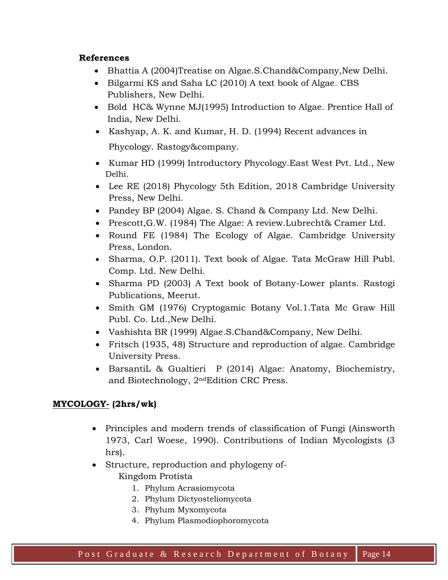## **References**

- Bhattia A (2004)Treatise on Algae.S.Chand&Company,New Delhi.
- Bilgarmi KS and Saha LC (2010) A text book of Algae. CBS Publishers, New Delhi.
- Bold HC& Wynne MJ(1995) Introduction to Algae. Prentice Hall of India, New Delhi.
- Kashyap, A. K. and Kumar, H. D. (1994) Recent advances in Phycology. Rastogy&company.
- Kumar HD (1999) Introductory Phycology.East West Pvt. Ltd., New Delhi.
- Lee RE (2018) Phycology 5th Edition, 2018 Cambridge University Press, New Delhi.
- Pandey BP (2004) Algae. S. Chand & Company Ltd. New Delhi.
- Prescott,G.W. (1984) The Algae: A review.Lubrecht& Cramer Ltd.
- Round FE (1984) The Ecology of Algae. Cambridge University Press, London.
- Sharma, O.P. (2011). Text book of Algae. Tata McGraw Hill Publ. Comp. Ltd. New Delhi.
- Sharma PD (2003) A Text book of Botany-Lower plants. Rastogi Publications, Meerut.
- Smith GM (1976) Cryptogamic Botany Vol.1.Tata Mc Graw Hill Publ. Co. Ltd.,New Delhi.
- Vashishta BR (1999) Algae.S.Chand&Company, New Delhi.
- Fritsch (1935, 48) Structure and reproduction of algae. Cambridge University Press.
- BarsantiL & Gualtieri P (2014) Algae: Anatomy, Biochemistry, and Biotechnology, 2ndEdition CRC Press.

## **MYCOLOGY- (2hrs/wk)**

E

- Principles and modern trends of classification of Fungi (Ainsworth 1973, Carl Woese, 1990). Contributions of Indian Mycologists (3 hrs).
- Structure, reproduction and phylogeny of-

Kingdom Protista

- 1. Phylum Acrasiomycota
- 2. Phylum Dictyosteliomycota
- 3. Phylum Myxomycota
- 4. Phylum Plasmodiophoromycota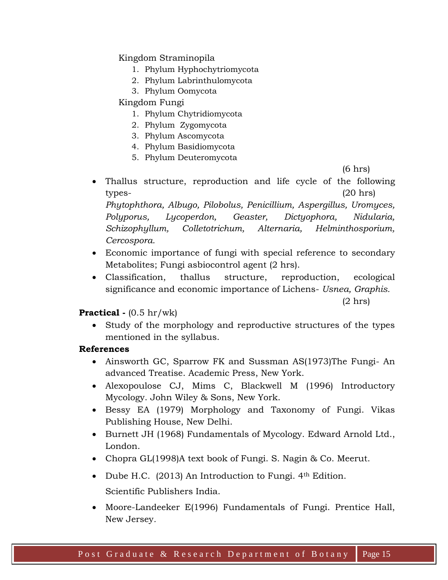Kingdom Straminopila

- 1. Phylum Hyphochytriomycota
- 2. Phylum Labrinthulomycota
- 3. Phylum Oomycota

## Kingdom Fungi

- 1. Phylum Chytridiomycota
- 2. Phylum Zygomycota
- 3. Phylum Ascomycota
- 4. Phylum Basidiomycota
- 5. Phylum Deuteromycota

(6 hrs)

• Thallus structure, reproduction and life cycle of the following types- (20 hrs) *Phytophthora, Albugo, Pilobolus, Penicillium, Aspergillus, Uromyces, Polyporus, Lycoperdon, Geaster, Dictyophora, Nidularia,* 

*Schizophyllum, Colletotrichum, Alternaria, Helminthosporium, Cercospora.*

- Economic importance of fungi with special reference to secondary Metabolites; Fungi asbiocontrol agent (2 hrs).
- Classification, thallus structure, reproduction, ecological significance and economic importance of Lichens- *Usnea, Graphis.*

 $(2 \text{ hrs})$ 

## **Practical -** (0.5 hr/wk)

• Study of the morphology and reproductive structures of the types mentioned in the syllabus.

## **References**

- Ainsworth GC, Sparrow FK and Sussman AS(1973)The Fungi- An advanced Treatise. Academic Press, New York.
- Alexopoulose CJ, Mims C, Blackwell M (1996) Introductory Mycology. John Wiley & Sons, New York.
- Bessy EA (1979) Morphology and Taxonomy of Fungi. Vikas Publishing House, New Delhi.
- Burnett JH (1968) Fundamentals of Mycology. Edward Arnold Ltd., London.
- Chopra GL(1998)A text book of Fungi. S. Nagin & Co. Meerut.
- Dube H.C. (2013) An Introduction to Fungi. 4<sup>th</sup> Edition. Scientific Publishers India.
- Moore-Landeeker E(1996) Fundamentals of Fungi. Prentice Hall, New Jersey*.*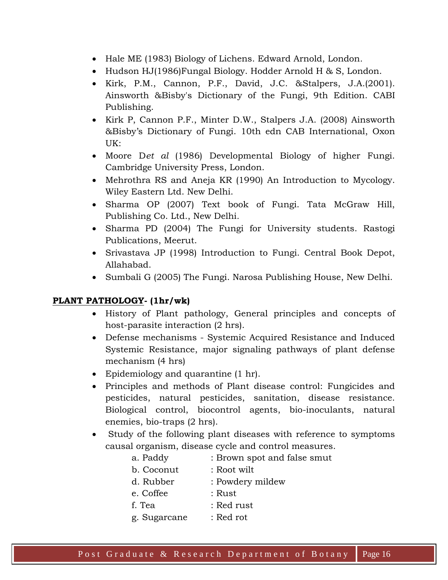- Hale ME (1983) Biology of Lichens. Edward Arnold, London*.*
- Hudson HJ(1986)Fungal Biology. Hodder Arnold H & S, London.
- [Kirk,](http://taxonomicon.taxonomy.nl/Person.aspx?id=1369) P.M., [Cannon,](http://taxonomicon.taxonomy.nl/Person.aspx?id=2309) P.F., [David,](http://taxonomicon.taxonomy.nl/Person.aspx?id=2310) J.C. [&Stalpers,](http://taxonomicon.taxonomy.nl/Person.aspx?id=2311) J.A.(2001). Ainsworth &Bisby's Dictionary of the Fungi, 9th Edition. CABI Publishing.
- Kirk P, Cannon P.F., Minter D.W., Stalpers J.A. (2008) Ainsworth &Bisby's Dictionary of Fungi. 10th edn CAB International, Oxon UK:
- Moore D*et al* (1986) Developmental Biology of higher Fungi. Cambridge University Press, London.
- Mehrothra RS and Aneja KR (1990) An Introduction to Mycology. Wiley Eastern Ltd. New Delhi.
- Sharma OP (2007) Text book of Fungi. Tata McGraw Hill, Publishing Co. Ltd., New Delhi*.*
- Sharma PD (2004) The Fungi for University students. Rastogi Publications, Meerut.
- Srivastava JP (1998) Introduction to Fungi. Central Book Depot, Allahabad.
- Sumbali G (2005) The Fungi. Narosa Publishing House, New Delhi.

## **PLANT PATHOLOGY- (1hr/wk)**

- History of Plant pathology, General principles and concepts of host-parasite interaction (2 hrs).
- Defense mechanisms Systemic Acquired Resistance and Induced Systemic Resistance, major signaling pathways of plant defense mechanism (4 hrs)
- Epidemiology and quarantine (1 hr).
- Principles and methods of Plant disease control: Fungicides and pesticides, natural pesticides, sanitation, disease resistance. Biological control, biocontrol agents, bio-inoculants, natural enemies, bio-traps (2 hrs).
- Study of the following plant diseases with reference to symptoms causal organism, disease cycle and control measures.

| a. Paddy     | : Brown spot and false smut |
|--------------|-----------------------------|
| b. Coconut   | : Root wilt                 |
| d. Rubber    | : Powdery mildew            |
| e. Coffee    | : Rust                      |
| f. Tea       | : Red rust                  |
| g. Sugarcane | : Red rot                   |
|              |                             |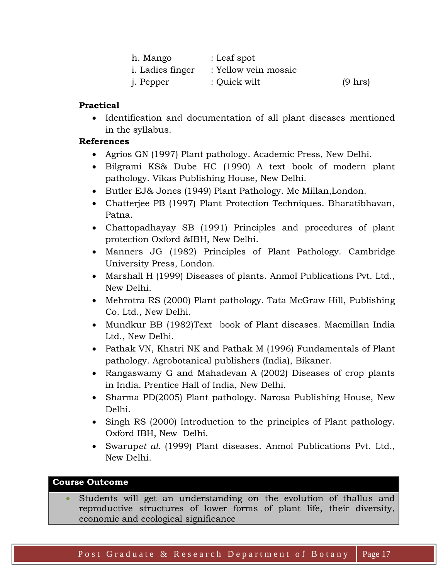| h. Mango                | : Leaf spot          |                   |
|-------------------------|----------------------|-------------------|
| <i>i. Ladies finger</i> | : Yellow vein mosaic |                   |
| <i>i</i> . Pepper       | : Quick wilt         | $(9 \text{ hrs})$ |

## **Practical**

• Identification and documentation of all plant diseases mentioned in the syllabus.

## **References**

- Agrios GN (1997) Plant pathology. Academic Press, New Delhi.
- Bilgrami KS& Dube HC (1990) A text book of modern plant pathology. Vikas Publishing House, New Delhi.
- Butler EJ& Jones (1949) Plant Pathology. Mc Millan,London.
- Chatterjee PB (1997) Plant Protection Techniques. Bharatibhavan, Patna.
- Chattopadhayay SB (1991) Principles and procedures of plant protection Oxford &IBH, New Delhi.
- Manners JG (1982) Principles of Plant Pathology. Cambridge University Press, London.
- Marshall H (1999) Diseases of plants. Anmol Publications Pvt. Ltd., New Delhi.
- Mehrotra RS (2000) Plant pathology. Tata McGraw Hill, Publishing Co. Ltd., New Delhi*.*
- Mundkur BB (1982)Text book of Plant diseases. Macmillan India Ltd., New Delhi.
- Pathak VN, Khatri NK and Pathak M (1996) Fundamentals of Plant pathology. Agrobotanical publishers (India), Bikaner.
- Rangaswamy G and Mahadevan A (2002) Diseases of crop plants in India. Prentice Hall of India, New Delhi.
- Sharma PD(2005) Plant pathology. Narosa Publishing House, New Delhi.
- Singh RS (2000) Introduction to the principles of Plant pathology. Oxford IBH, New Delhi.
- Swarup*et al.* (1999) Plant diseases. Anmol Publications Pvt. Ltd., New Delhi.

## **Course Outcome**

E

Students will get an understanding on the evolution of thallus and reproductive structures of lower forms of plant life, their diversity, economic and ecological significance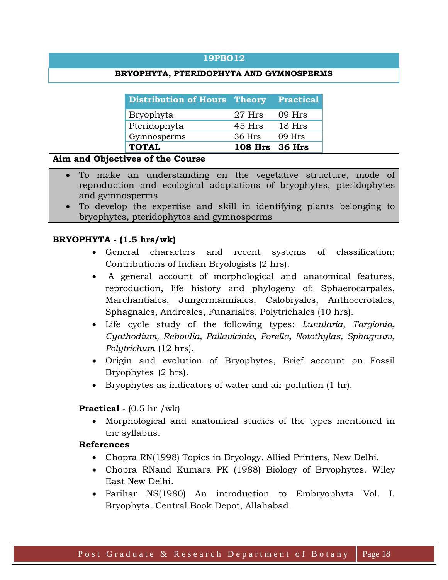#### **19PBO12**

#### **BRYOPHYTA, PTERIDOPHYTA AND GYMNOSPERMS**

| <b>Distribution of Hours Theory Practical</b> |                |          |
|-----------------------------------------------|----------------|----------|
| Bryophyta                                     | $27$ Hrs       | $09$ Hrs |
| Pteridophyta                                  | 45 Hrs         | 18 Hrs   |
| Gymnosperms                                   | 36 Hrs         | $09$ Hrs |
| <b>TOTAL</b>                                  | 108 Hrs 36 Hrs |          |

#### **Aim and Objectives of the Course**

- To make an understanding on the vegetative structure, mode of reproduction and ecological adaptations of bryophytes, pteridophytes and gymnosperms
- To develop the expertise and skill in identifying plants belonging to bryophytes, pteridophytes and gymnosperms

#### **BRYOPHYTA - (1.5 hrs/wk)**

- General characters and recent systems of classification; Contributions of Indian Bryologists (2 hrs).
- A general account of morphological and anatomical features, reproduction, life history and phylogeny of: Sphaerocarpales, Marchantiales, Jungermanniales, Calobryales, Anthocerotales, Sphagnales, Andreales, Funariales, Polytrichales (10 hrs).
- Life cycle study of the following types: *Lunularia, Targionia, Cyathodium, Reboulia, Pallavicinia, Porella, Notothylas, Sphagnum, Polytrichum* (12 hrs).
- Origin and evolution of Bryophytes, Brief account on Fossil Bryophytes (2 hrs).
- Bryophytes as indicators of water and air pollution (1 hr).

#### **Practical -** (0.5 hr /wk)

• Morphological and anatomical studies of the types mentioned in the syllabus.

#### **References**

- Chopra RN(1998) Topics in Bryology. Allied Printers, New Delhi.
- Chopra RNand Kumara PK (1988) Biology of Bryophytes. Wiley East New Delhi.
- Parihar NS(1980) An introduction to Embryophyta Vol. I. Bryophyta. Central Book Depot, Allahabad.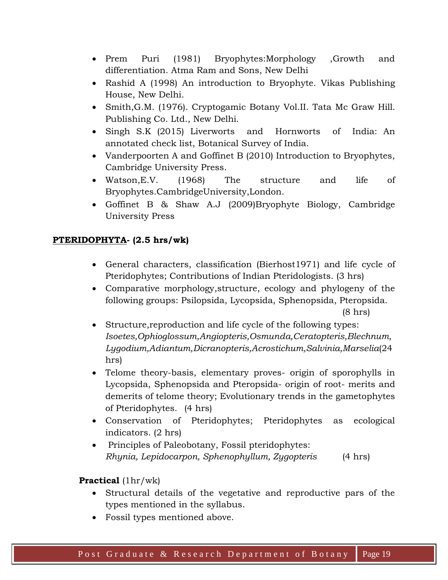- Prem Puri (1981) Bryophytes:Morphology ,Growth and differentiation. Atma Ram and Sons, New Delhi
- Rashid A (1998) An introduction to Bryophyte. Vikas Publishing House, New Delhi.
- Smith, G.M. (1976). Cryptogamic Botany Vol.II. Tata Mc Graw Hill. Publishing Co. Ltd., New Delhi.
- Singh S.K (2015) Liverworts and Hornworts of India: An annotated check list, Botanical Survey of India.
- Vanderpoorten A and Goffinet B (2010) Introduction to Bryophytes, Cambridge University Press.
- Watson,E.V. (1968) The structure and life of Bryophytes.CambridgeUniversity,London.
- Goffinet B & Shaw A.J (2009)Bryophyte Biology, Cambridge University Press

## **PTERIDOPHYTA- (2.5 hrs/wk)**

- General characters, classification (Bierhost1971) and life cycle of Pteridophytes; Contributions of Indian Pteridologists. (3 hrs)
- Comparative morphology,structure, ecology and phylogeny of the following groups: Psilopsida, Lycopsida, Sphenopsida, Pteropsida. (8 hrs)
- Structure, reproduction and life cycle of the following types: *Isoetes,Ophioglossum,Angiopteris,Osmunda,Ceratopteris,Blechnum, Lygodium,Adiantum,Dicranopteris,Acrostichum,Salvinia,Marselia*(24 hrs)
- Telome theory-basis, elementary proves- origin of sporophylls in Lycopsida, Sphenopsida and Pteropsida- origin of root- merits and demerits of telome theory; Evolutionary trends in the gametophytes of Pteridophytes. (4 hrs)
- Conservation of Pteridophytes; Pteridophytes as ecological indicators. (2 hrs)
- Principles of Paleobotany, Fossil pteridophytes: *Rhynia, Lepidocarpon, Sphenophyllum, Zygopteris* (4 hrs)

## **Practical** (1hr/wk)

- Structural details of the vegetative and reproductive pars of the types mentioned in the syllabus.
- Fossil types mentioned above.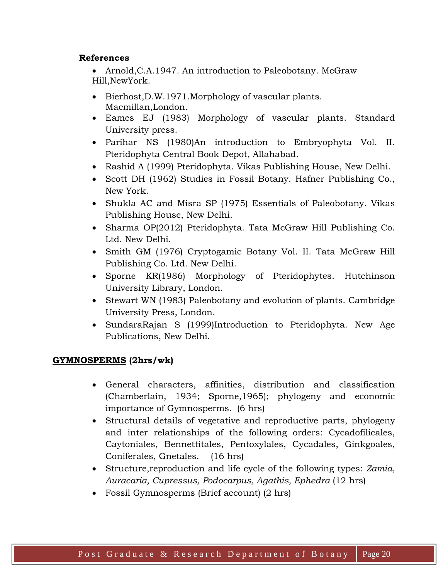#### **References**

• Arnold, C.A.1947. An introduction to Paleobotany. McGraw Hill,NewYork.

- Bierhost,D.W.1971.Morphology of vascular plants. Macmillan,London.
- Eames EJ (1983) Morphology of vascular plants. Standard University press.
- Parihar NS (1980)An introduction to Embryophyta Vol. II. Pteridophyta Central Book Depot, Allahabad.
- Rashid A (1999) Pteridophyta. Vikas Publishing House, New Delhi.
- Scott DH (1962) Studies in Fossil Botany. Hafner Publishing Co., New York.
- Shukla AC and Misra SP (1975) Essentials of Paleobotany. Vikas Publishing House, New Delhi.
- Sharma OP(2012) Pteridophyta. Tata McGraw Hill Publishing Co. Ltd. New Delhi.
- Smith GM (1976) Cryptogamic Botany Vol. II. Tata McGraw Hill Publishing Co. Ltd. New Delhi.
- Sporne KR(1986) Morphology of Pteridophytes. Hutchinson University Library, London.
- Stewart WN (1983) Paleobotany and evolution of plants. Cambridge University Press, London.
- SundaraRajan S (1999)Introduction to Pteridophyta. New Age Publications, New Delhi.

## **GYMNOSPERMS (2hrs/wk)**

- General characters, affinities, distribution and classification (Chamberlain, 1934; Sporne,1965); phylogeny and economic importance of Gymnosperms. (6 hrs)
- Structural details of vegetative and reproductive parts, phylogeny and inter relationships of the following orders: Cycadofilicales, Caytoniales, Bennettitales, Pentoxylales, Cycadales, Ginkgoales, Coniferales, Gnetales. (16 hrs)
- Structure,reproduction and life cycle of the following types: *Zamia, Auracaria, Cupressus, Podocarpus, Agathis, Ephedra* (12 hrs)
- Fossil Gymnosperms (Brief account) (2 hrs)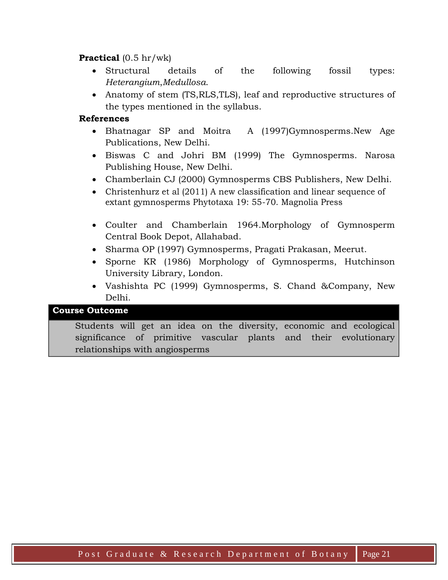#### **Practical** (0.5 hr/wk)

- Structural details of the following fossil types: *Heterangium*,*Medullosa*.
- Anatomy of stem (TS,RLS,TLS), leaf and reproductive structures of the types mentioned in the syllabus.

## **References**

- Bhatnagar SP and Moitra A (1997)Gymnosperms.New Age Publications, New Delhi.
- Biswas C and Johri BM (1999) The Gymnosperms. Narosa Publishing House, New Delhi.
- Chamberlain CJ (2000) Gymnosperms CBS Publishers, New Delhi.
- Christenhurz et al (2011) A new classification and linear sequence of extant gymnosperms Phytotaxa 19: 55-70. Magnolia Press
- Coulter and Chamberlain 1964.Morphology of Gymnosperm Central Book Depot, Allahabad.
- Sharma OP (1997) Gymnosperms, Pragati Prakasan, Meerut.
- Sporne KR (1986) Morphology of Gymnosperms, Hutchinson University Library, London.
- Vashishta PC (1999) Gymnosperms, S. Chand &Company, New Delhi.

#### **Course Outcome**

E

Students will get an idea on the diversity, economic and ecological significance of primitive vascular plants and their evolutionary relationships with angiosperms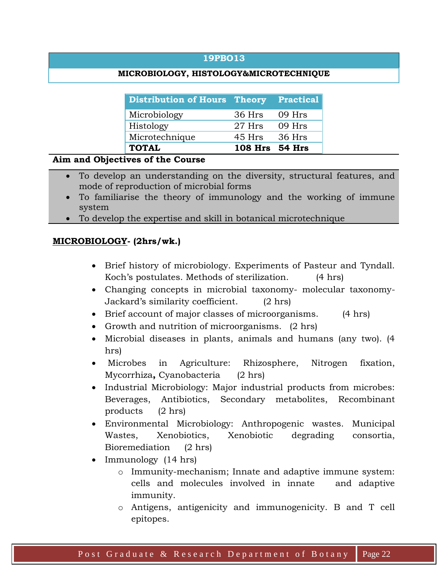#### **19PBO13**

#### **MICROBIOLOGY, HISTOLOGY&MICROTECHNIQUE**

| <b>Distribution of Hours Theory</b> |                | <b>Practical</b> |
|-------------------------------------|----------------|------------------|
| Microbiology                        | 36 Hrs         | $09$ Hrs         |
| Histology                           | $27$ Hrs       | $09$ Hrs         |
| Microtechnique                      | 45 Hrs         | 36 Hrs           |
| <b>TOTAL</b>                        | 108 Hrs 54 Hrs |                  |

#### **Aim and Objectives of the Course**

- To develop an understanding on the diversity, structural features, and mode of reproduction of microbial forms
- To familiarise the theory of immunology and the working of immune system
- To develop the expertise and skill in botanical microtechnique

#### **MICROBIOLOGY- (2hrs/wk.)**

- Brief history of microbiology. Experiments of Pasteur and Tyndall. Koch's postulates. Methods of sterilization. (4 hrs)
- Changing concepts in microbial taxonomy- molecular taxonomy-Jackard's similarity coefficient. (2 hrs)
- Brief account of major classes of microorganisms. (4 hrs)
- Growth and nutrition of microorganisms. (2 hrs)
- Microbial diseases in plants, animals and humans (any two). (4 hrs)
- Microbes in Agriculture: Rhizosphere, Nitrogen fixation, Mycorrhiza**,** Cyanobacteria (2 hrs)
- Industrial Microbiology: Major industrial products from microbes: Beverages, Antibiotics, Secondary metabolites, Recombinant products (2 hrs)
- Environmental Microbiology: Anthropogenic wastes. Municipal Wastes, Xenobiotics, Xenobiotic degrading consortia, Bioremediation (2 hrs)
- Immunology (14 hrs)

- o Immunity-mechanism; Innate and adaptive immune system: cells and molecules involved in innate and adaptive immunity.
- o Antigens, antigenicity and immunogenicity. B and T cell epitopes.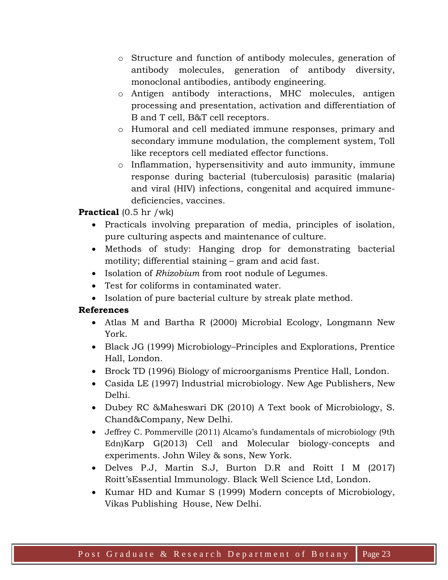- o Structure and function of antibody molecules, generation of antibody molecules, generation of antibody diversity, monoclonal antibodies, antibody engineering.
- o Antigen antibody interactions, MHC molecules, antigen processing and presentation, activation and differentiation of B and T cell, B&T cell receptors.
- o Humoral and cell mediated immune responses, primary and secondary immune modulation, the complement system, Toll like receptors cell mediated effector functions.
- o Inflammation, hypersensitivity and auto immunity, immune response during bacterial (tuberculosis) parasitic (malaria) and viral (HIV) infections, congenital and acquired immunedeficiencies, vaccines.

## **Practical** (0.5 hr /wk)

- Practicals involving preparation of media, principles of isolation, pure culturing aspects and maintenance of culture.
- Methods of study: Hanging drop for demonstrating bacterial motility; differential staining – gram and acid fast.
- Isolation of *Rhizobium* from root nodule of Legumes.
- Test for coliforms in contaminated water.
- Isolation of pure bacterial culture by streak plate method.

## **References**

- Atlas M and Bartha R (2000) Microbial Ecology, Longmann New York.
- Black JG (1999) Microbiology–Principles and Explorations, Prentice Hall, London.
- Brock TD (1996) Biology of microorganisms Prentice Hall, London.
- Casida LE (1997) Industrial microbiology. New Age Publishers, New Delhi.
- Dubey RC &Maheswari DK (2010) A Text book of Microbiology, S. Chand&Company, New Delhi.
- Jeffrey C. Pommerville (2011) Alcamo's fundamentals of microbiology (9th Edn)Karp G(2013) Cell and Molecular biology-concepts and experiments. John Wiley & sons, New York.
- Delves P.J, Martin S.J, Burton D.R and Roitt I M (2017) Roitt'sEssential Immunology. Black Well Science Ltd, London.
- Kumar HD and Kumar S (1999) Modern concepts of Microbiology, Vikas Publishing House, New Delhi.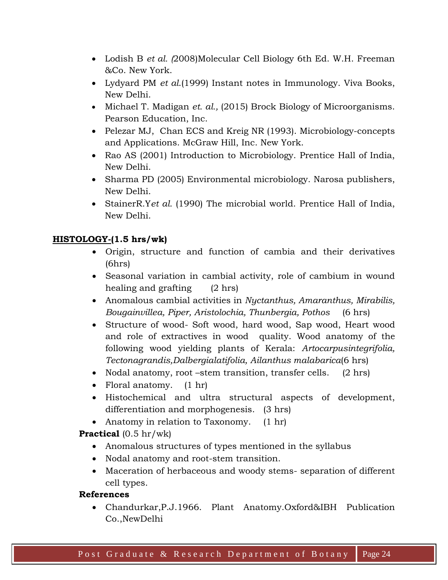- Lodish B *et al. (*2008)Molecular Cell Biology 6th Ed. W.H. Freeman &Co. New York.
- Lydyard PM *et al*.(1999) Instant notes in Immunology. Viva Books, New Delhi.
- Michael T. Madigan *et. al.,* (2015) Brock Biology of Microorganisms. Pearson Education, Inc.
- Pelezar MJ, Chan ECS and Kreig NR (1993). Microbiology-concepts and Applications. McGraw Hill, Inc. New York.
- Rao AS (2001) Introduction to Microbiology. Prentice Hall of India, New Delhi.
- Sharma PD (2005) Environmental microbiology. Narosa publishers, New Delhi.
- StainerR.Y*et al.* (1990) The microbial world. Prentice Hall of India, New Delhi.

## **HISTOLOGY-(1.5 hrs/wk)**

- Origin, structure and function of cambia and their derivatives (6hrs)
- Seasonal variation in cambial activity, role of cambium in wound healing and grafting (2 hrs)
- Anomalous cambial activities in *Nyctanthus, Amaranthus, Mirabilis, Bougainvillea, Piper, Aristolochia, Thunbergia, Pothos* (6 hrs)
- Structure of wood- Soft wood, hard wood, Sap wood, Heart wood and role of extractives in wood quality. Wood anatomy of the following wood yielding plants of Kerala: *Artocarpusintegrifolia, Tectonagrandis,Dalbergialatifolia, Ailanthus malabarica*(6 hrs)
- Nodal anatomy, root –stem transition, transfer cells. (2 hrs)
- Floral anatomy. (1 hr)
- Histochemical and ultra structural aspects of development, differentiation and morphogenesis. (3 hrs)
- Anatomy in relation to Taxonomy. (1 hr)

## **Practical** (0.5 hr/wk)

- Anomalous structures of types mentioned in the syllabus
- Nodal anatomy and root-stem transition.
- Maceration of herbaceous and woody stems- separation of different cell types.

## **References**

E

• Chandurkar,P.J.1966. Plant Anatomy.Oxford&IBH Publication Co.,NewDelhi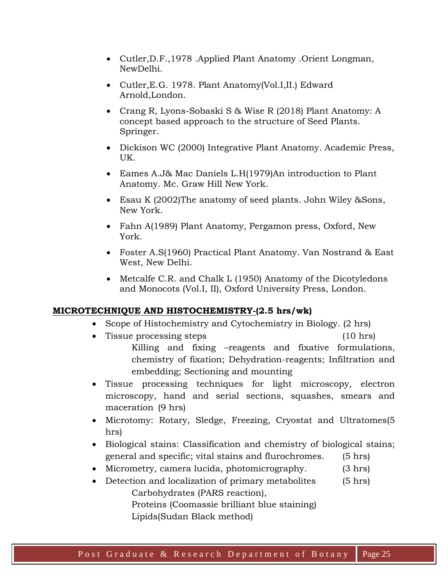- Cutler,D.F.,1978 .Applied Plant Anatomy .Orient Longman, NewDelhi.
- Cutler,E.G. 1978. Plant Anatomy(Vol.I,II.) Edward Arnold,London.
- Crang R, Lyons-Sobaski S & Wise R (2018) Plant Anatomy: A concept based approach to the structure of Seed Plants. Springer.
- Dickison WC (2000) Integrative Plant Anatomy. Academic Press, UK.
- Eames A.J& Mac Daniels L.H(1979)An introduction to Plant Anatomy. Mc. Graw Hill New York.
- Esau K (2002)The anatomy of seed plants. John Wiley & Sons, New York.
- Fahn A(1989) Plant Anatomy, Pergamon press, Oxford, New York.
- Foster A.S(1960) Practical Plant Anatomy. Van Nostrand & East West, New Delhi.
- Metcalfe C.R. and Chalk L (1950) Anatomy of the Dicotyledons and Monocots (Vol.I, II), Oxford University Press, London.

## **MICROTECHNIQUE AND HISTOCHEMISTRY-(2.5 hrs/wk)**

- Scope of Histochemistry and Cytochemistry in Biology. (2 hrs)
- Tissue processing steps (10 hrs) Killing and fixing –reagents and fixative formulations, chemistry of fixation; Dehydration-reagents; Infiltration and embedding; Sectioning and mounting
- Tissue processing techniques for light microscopy, electron microscopy, hand and serial sections, squashes, smears and maceration (9 hrs)
- Microtomy: Rotary, Sledge, Freezing, Cryostat and Ultratomes(5 hrs)
- Biological stains: Classification and chemistry of biological stains; general and specific; vital stains and flurochromes. (5 hrs)
- Micrometry, camera lucida, photomicrography. (3 hrs)
- Detection and localization of primary metabolites (5 hrs)

Carbohydrates (PARS reaction),

Proteins (Coomassie brilliant blue staining)

Lipids(Sudan Black method)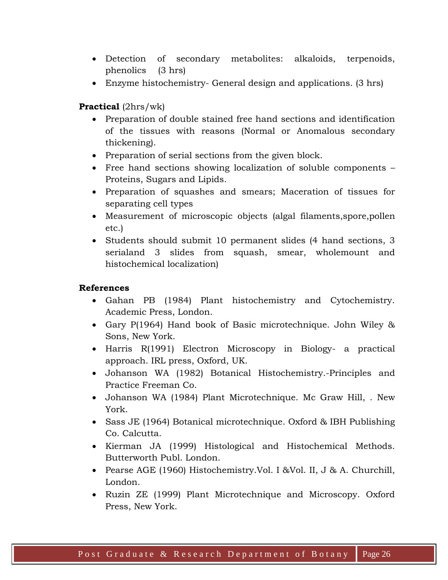- Detection of secondary metabolites: alkaloids, terpenoids, phenolics (3 hrs)
- Enzyme histochemistry- General design and applications. (3 hrs)

## **Practical** (2hrs/wk)

- Preparation of double stained free hand sections and identification of the tissues with reasons (Normal or Anomalous secondary thickening).
- Preparation of serial sections from the given block.
- Free hand sections showing localization of soluble components Proteins, Sugars and Lipids.
- Preparation of squashes and smears; Maceration of tissues for separating cell types
- Measurement of microscopic objects (algal filaments,spore,pollen etc.)
- Students should submit 10 permanent slides (4 hand sections, 3 serialand 3 slides from squash, smear, wholemount and histochemical localization)

## **References**

- Gahan PB (1984) Plant histochemistry and Cytochemistry. Academic Press, London.
- Gary P(1964) Hand book of Basic microtechnique. John Wiley & Sons, New York.
- Harris R(1991) Electron Microscopy in Biology- a practical approach. IRL press, Oxford, UK.
- Johanson WA (1982) Botanical Histochemistry.-Principles and Practice Freeman Co.
- Johanson WA (1984) Plant Microtechnique. Mc Graw Hill, . New York.
- Sass JE (1964) Botanical microtechnique. Oxford & IBH Publishing Co. Calcutta.
- Kierman JA (1999) Histological and Histochemical Methods. Butterworth Publ. London.
- Pearse AGE (1960) Histochemistry. Vol. I & Vol. II, J & A. Churchill, London.
- Ruzin ZE (1999) Plant Microtechnique and Microscopy. Oxford Press, New York.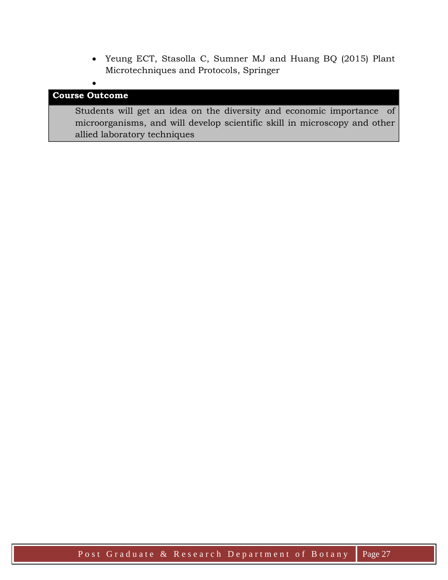• Yeung ECT, Stasolla C, Sumner MJ and Huang BQ (2015) Plant Microtechniques and Protocols, Springer

#### **Course Outcome**

•

E

Students will get an idea on the diversity and economic importance of microorganisms, and will develop scientific skill in microscopy and other allied laboratory techniques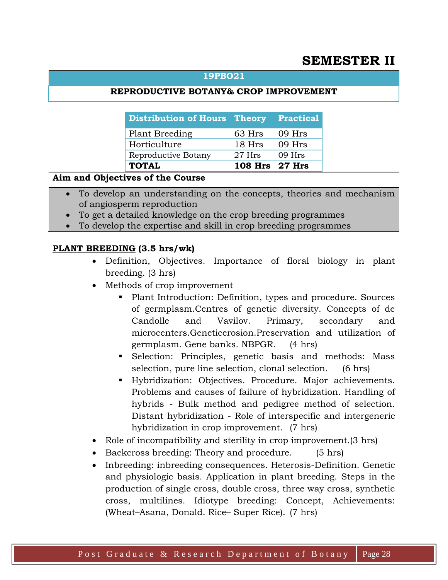# **SEMESTER II**

#### **19PBO21**

#### **REPRODUCTIVE BOTANY& CROP IMPROVEMENT**

| <b>Distribution of Hours Theory Practical</b> |                |          |
|-----------------------------------------------|----------------|----------|
| Plant Breeding                                | 63 Hrs         | $09$ Hrs |
| Horticulture                                  | 18 Hrs         | $09$ Hrs |
| Reproductive Botany                           | $27$ Hrs       | $09$ Hrs |
| <b>TOTAL</b>                                  | 108 Hrs 27 Hrs |          |

#### **Aim and Objectives of the Course**

- To develop an understanding on the concepts, theories and mechanism of angiosperm reproduction
- To get a detailed knowledge on the crop breeding programmes
- To develop the expertise and skill in crop breeding programmes

## **PLANT BREEDING (3.5 hrs/wk)**

- Definition, Objectives. Importance of floral biology in plant breeding. (3 hrs)
- Methods of crop improvement
	- Plant Introduction: Definition, types and procedure. Sources of germplasm.Centres of genetic diversity. Concepts of de Candolle and Vavilov. Primary, secondary and microcenters.Geneticerosion.Preservation and utilization of germplasm. Gene banks. NBPGR. (4 hrs)
	- Selection: Principles, genetic basis and methods: Mass selection, pure line selection, clonal selection. (6 hrs)
	- Hybridization: Objectives. Procedure. Major achievements. Problems and causes of failure of hybridization. Handling of hybrids - Bulk method and pedigree method of selection. Distant hybridization - Role of interspecific and intergeneric hybridization in crop improvement. (7 hrs)
- Role of incompatibility and sterility in crop improvement. (3 hrs)
- Backcross breeding: Theory and procedure. (5 hrs)
- Inbreeding: inbreeding consequences. Heterosis-Definition. Genetic and physiologic basis. Application in plant breeding. Steps in the production of single cross, double cross, three way cross, synthetic cross, multilines. Idiotype breeding: Concept, Achievements: (Wheat–Asana, Donald. Rice– Super Rice). (7 hrs)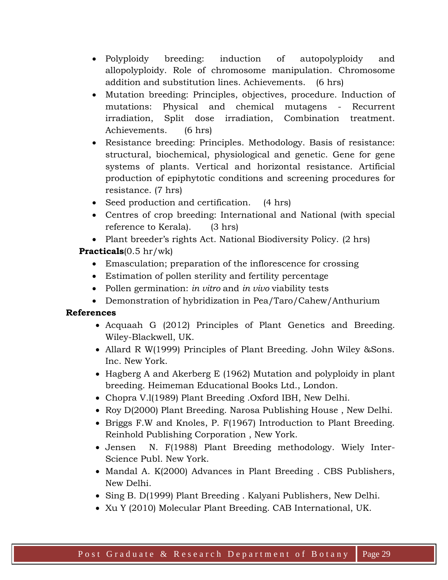- Polyploidy breeding: induction of autopolyploidy and allopolyploidy. Role of chromosome manipulation. Chromosome addition and substitution lines. Achievements. (6 hrs)
- Mutation breeding: Principles, objectives, procedure. Induction of mutations: Physical and chemical mutagens - Recurrent irradiation, Split dose irradiation, Combination treatment. Achievements. (6 hrs)
- Resistance breeding: Principles. Methodology. Basis of resistance: structural, biochemical, physiological and genetic. Gene for gene systems of plants. Vertical and horizontal resistance. Artificial production of epiphytotic conditions and screening procedures for resistance. (7 hrs)
- Seed production and certification. (4 hrs)
- Centres of crop breeding: International and National (with special reference to Kerala). (3 hrs)
- Plant breeder's rights Act. National Biodiversity Policy. (2 hrs)

## **Practicals**(0.5 hr/wk)

- Emasculation; preparation of the inflorescence for crossing
- Estimation of pollen sterility and fertility percentage
- Pollen germination: *in vitro* and *in vivo* viability tests
- Demonstration of hybridization in Pea/Taro/Cahew/Anthurium

## **References**

- Acquaah G (2012) Principles of Plant Genetics and Breeding. Wiley-Blackwell, UK.
- Allard R W(1999) Principles of Plant Breeding. John Wiley &Sons. Inc. New York.
- Hagberg A and Akerberg E (1962) Mutation and polyploidy in plant breeding. Heimeman Educational Books Ltd., London.
- Chopra V.l(1989) Plant Breeding .Oxford IBH, New Delhi.
- Roy D(2000) Plant Breeding. Narosa Publishing House , New Delhi.
- Briggs F.W and Knoles, P. F(1967) Introduction to Plant Breeding. Reinhold Publishing Corporation , New York.
- Jensen N. F(1988) Plant Breeding methodology. Wiely Inter-Science Publ. New York.
- Mandal A. K(2000) Advances in Plant Breeding . CBS Publishers, New Delhi.
- Sing B. D(1999) Plant Breeding . Kalyani Publishers, New Delhi.
- Xu Y (2010) Molecular Plant Breeding. CAB International, UK.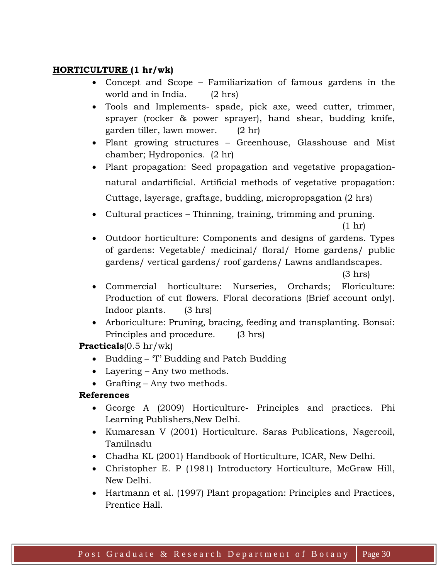## **HORTICULTURE (1 hr/wk)**

- Concept and Scope Familiarization of famous gardens in the world and in India. (2 hrs)
- Tools and Implements- spade, pick axe, weed cutter, trimmer, sprayer (rocker & power sprayer), hand shear, budding knife, garden tiller, lawn mower. (2 hr)
- Plant growing structures Greenhouse, Glasshouse and Mist chamber; Hydroponics. (2 hr)
- Plant propagation: Seed propagation and vegetative propagationnatural andartificial. Artificial methods of vegetative propagation: Cuttage, layerage, graftage, budding, micropropagation (2 hrs)
- Cultural practices Thinning, training, trimming and pruning. (1 hr)
- Outdoor horticulture: Components and designs of gardens. Types of gardens: Vegetable/ medicinal/ floral/ Home gardens/ public gardens/ vertical gardens/ roof gardens/ Lawns andlandscapes.

(3 hrs)

- Commercial horticulture: Nurseries, Orchards; Floriculture: Production of cut flowers. Floral decorations (Brief account only). Indoor plants. (3 hrs)
- Arboriculture: Pruning, bracing, feeding and transplanting. Bonsai: Principles and procedure. (3 hrs)

## **Practicals**(0.5 hr/wk)

- Budding 'T' Budding and Patch Budding
- Layering Any two methods.
- Grafting Any two methods.

## **References**

- George A (2009) Horticulture- Principles and practices. Phi Learning Publishers,New Delhi.
- Kumaresan V (2001) Horticulture. Saras Publications, Nagercoil, Tamilnadu
- Chadha KL (2001) Handbook of Horticulture, ICAR, New Delhi.
- Christopher E. P (1981) Introductory Horticulture, McGraw Hill, New Delhi.
- Hartmann et al. (1997) Plant propagation: Principles and Practices, Prentice Hall.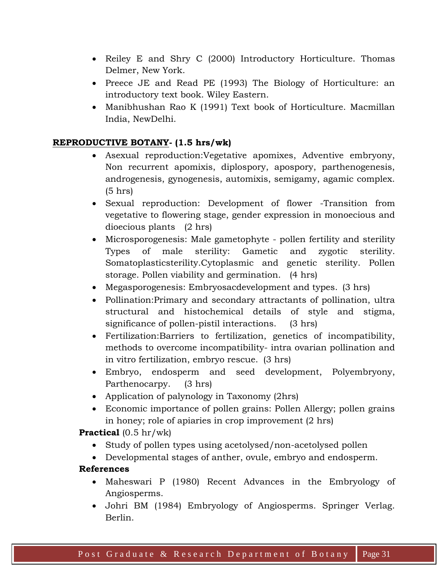- Reiley E and Shry C (2000) Introductory Horticulture. Thomas Delmer, New York.
- Preece JE and Read PE (1993) The Biology of Horticulture: an introductory text book. Wiley Eastern.
- Manibhushan Rao K (1991) Text book of Horticulture. Macmillan India, NewDelhi.

## **REPRODUCTIVE BOTANY- (1.5 hrs/wk)**

- Asexual reproduction:Vegetative apomixes, Adventive embryony, Non recurrent apomixis, diplospory, apospory, parthenogenesis, androgenesis, gynogenesis, automixis, semigamy, agamic complex. (5 hrs)
- Sexual reproduction: Development of flower -Transition from vegetative to flowering stage, gender expression in monoecious and dioecious plants (2 hrs)
- Microsporogenesis: Male gametophyte pollen fertility and sterility Types of male sterility: Gametic and zygotic sterility. Somatoplasticsterility.Cytoplasmic and genetic sterility. Pollen storage. Pollen viability and germination. (4 hrs)
- Megasporogenesis: Embryosacdevelopment and types. (3 hrs)
- Pollination:Primary and secondary attractants of pollination, ultra structural and histochemical details of style and stigma, significance of pollen-pistil interactions. (3 hrs)
- Fertilization:Barriers to fertilization, genetics of incompatibility, methods to overcome incompatibility- intra ovarian pollination and in vitro fertilization, embryo rescue. (3 hrs)
- Embryo, endosperm and seed development, Polyembryony, Parthenocarpy. (3 hrs)
- Application of palynology in Taxonomy (2hrs)
- Economic importance of pollen grains: Pollen Allergy; pollen grains in honey; role of apiaries in crop improvement (2 hrs)

## **Practical** (0.5 hr/wk)

- Study of pollen types using acetolysed/non-acetolysed pollen
- Developmental stages of anther, ovule, embryo and endosperm.

## **References**

- Maheswari P (1980) Recent Advances in the Embryology of Angiosperms.
- Johri BM (1984) Embryology of Angiosperms. Springer Verlag. Berlin.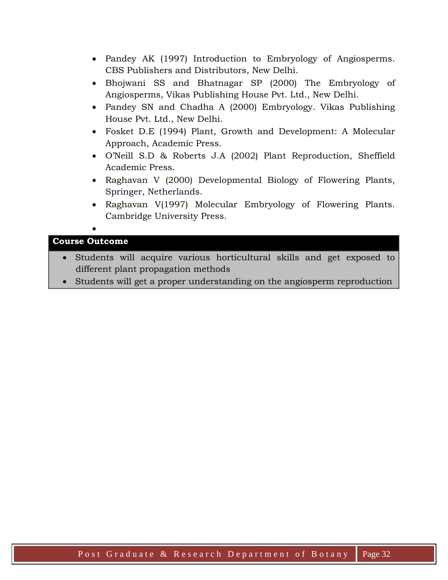- Pandey AK (1997) Introduction to Embryology of Angiosperms. CBS Publishers and Distributors, New Delhi.
- Bhojwani SS and Bhatnagar SP (2000) The Embryology of Angiosperms, Vikas Publishing House Pvt. Ltd., New Delhi.
- Pandey SN and Chadha A (2000) Embryology. Vikas Publishing House Pvt. Ltd., New Delhi.
- Fosket D.E (1994) Plant, Growth and Development: A Molecular Approach, Academic Press.
- O'Neill S.D & Roberts J.A (2002) Plant Reproduction, Sheffield Academic Press.
- Raghavan V (2000) Developmental Biology of Flowering Plants, Springer, Netherlands.
- Raghavan V(1997) Molecular Embryology of Flowering Plants. Cambridge University Press.

## **Course Outcome**

•

- Students will acquire various horticultural skills and get exposed to different plant propagation methods
- Students will get a proper understanding on the angiosperm reproduction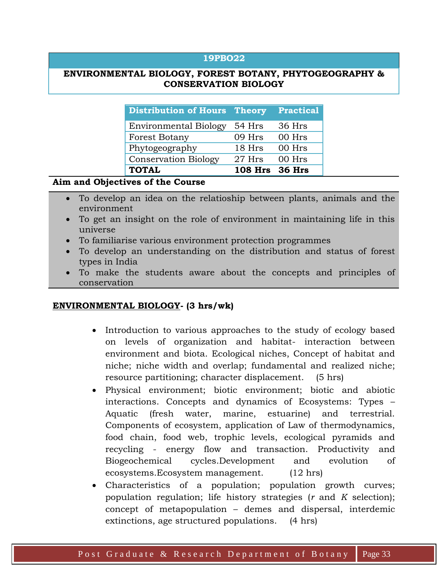#### **19PBO22**

## **ENVIRONMENTAL BIOLOGY, FOREST BOTANY, PHYTOGEOGRAPHY & CONSERVATION BIOLOGY**

| <b>Distribution of Hours Theory</b> |                | <b>Practical</b> |
|-------------------------------------|----------------|------------------|
| <b>Environmental Biology</b>        | 54 Hrs         | 36 Hrs           |
| <b>Forest Botany</b>                | $09$ Hrs       | 00 Hrs           |
| Phytogeography                      | 18 Hrs         | 00 Hrs           |
| <b>Conservation Biology</b>         | $27$ Hrs       | 00 Hrs           |
| <b>TOTAL</b>                        | 108 Hrs 36 Hrs |                  |

#### **Aim and Objectives of the Course**

- To develop an idea on the relatioship between plants, animals and the environment
- To get an insight on the role of environment in maintaining life in this universe
- To familiarise various environment protection programmes
- To develop an understanding on the distribution and status of forest types in India
- To make the students aware about the concepts and principles of conservation

## **ENVIRONMENTAL BIOLOGY- (3 hrs/wk)**

- Introduction to various approaches to the study of ecology based on levels of organization and habitat- interaction between environment and biota. Ecological niches, Concept of habitat and niche; niche width and overlap; fundamental and realized niche; resource partitioning; character displacement. (5 hrs)
- Physical environment; biotic environment; biotic and abiotic interactions. Concepts and dynamics of Ecosystems: Types – Aquatic (fresh water, marine, estuarine) and terrestrial. Components of ecosystem, application of Law of thermodynamics, food chain, food web, trophic levels, ecological pyramids and recycling - energy flow and transaction. Productivity and Biogeochemical cycles.Development and evolution of ecosystems.Ecosystem management. (12 hrs)
- Characteristics of a population; population growth curves; population regulation; life history strategies (*r* and *K* selection); concept of metapopulation – demes and dispersal, interdemic extinctions, age structured populations. (4 hrs)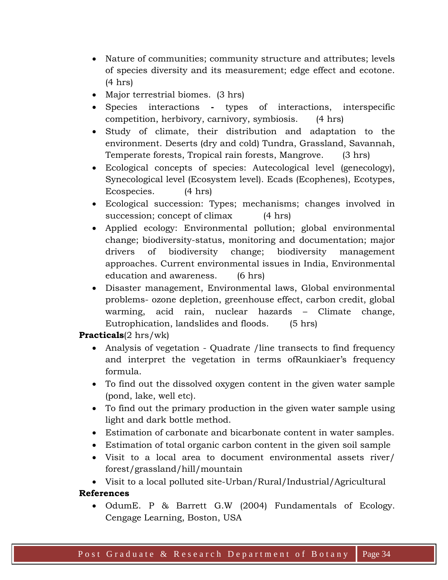- Nature of communities; community structure and attributes; levels of species diversity and its measurement; edge effect and ecotone. (4 hrs)
- Major terrestrial biomes. (3 hrs)
- Species interactions **-** types of interactions, interspecific competition, herbivory, carnivory, symbiosis. (4 hrs)
- Study of climate, their distribution and adaptation to the environment. Deserts (dry and cold) Tundra, Grassland, Savannah, Temperate forests, Tropical rain forests, Mangrove. (3 hrs)
- Ecological concepts of species: Autecological level (genecology), Synecological level (Ecosystem level). Ecads (Ecophenes), Ecotypes, Ecospecies. (4 hrs)
- Ecological succession: Types; mechanisms; changes involved in succession; concept of climax (4 hrs)
- Applied ecology: Environmental pollution; global environmental change; biodiversity-status, monitoring and documentation; major drivers of biodiversity change; biodiversity management approaches. Current environmental issues in India, Environmental education and awareness. (6 hrs)
- Disaster management, Environmental laws, Global environmental problems- ozone depletion, greenhouse effect, carbon credit, global warming, acid rain, nuclear hazards – Climate change, Eutrophication, landslides and floods. (5 hrs)

## **Practicals**(2 hrs/wk)

- Analysis of vegetation Quadrate /line transects to find frequency and interpret the vegetation in terms ofRaunkiaer's frequency formula.
- To find out the dissolved oxygen content in the given water sample (pond, lake, well etc).
- To find out the primary production in the given water sample using light and dark bottle method.
- Estimation of carbonate and bicarbonate content in water samples.
- Estimation of total organic carbon content in the given soil sample
- Visit to a local area to document environmental assets river/ forest/grassland/hill/mountain
- Visit to a local polluted site-Urban/Rural/Industrial/Agricultural

## **References**

E

• OdumE. P & Barrett G.W (2004) Fundamentals of Ecology. Cengage Learning, Boston, USA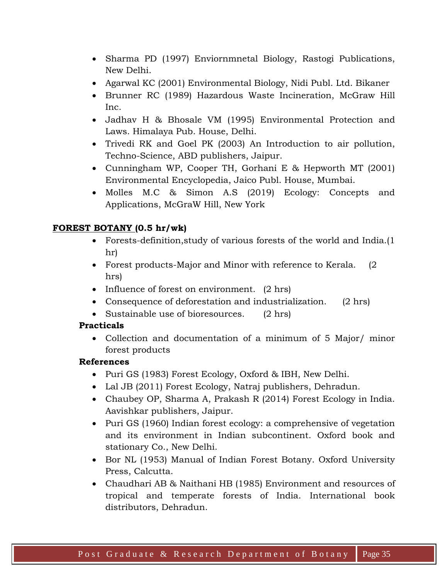- Sharma PD (1997) Enviornmnetal Biology, Rastogi Publications, New Delhi.
- Agarwal KC (2001) Environmental Biology, Nidi Publ. Ltd. Bikaner
- Brunner RC (1989) Hazardous Waste Incineration, McGraw Hill Inc.
- Jadhav H & Bhosale VM (1995) Environmental Protection and Laws. Himalaya Pub. House, Delhi.
- Trivedi RK and Goel PK (2003) An Introduction to air pollution, Techno-Science, ABD publishers, Jaipur.
- Cunningham WP, Cooper TH, Gorhani E & Hepworth MT (2001) Environmental Encyclopedia, Jaico Publ. House, Mumbai.
- Molles M.C & Simon A.S (2019) Ecology: Concepts and Applications, McGraW Hill, New York

## **FOREST BOTANY (0.5 hr/wk)**

- Forests-definition,study of various forests of the world and India.(1 hr)
- Forest products-Major and Minor with reference to Kerala. (2) hrs)
- Influence of forest on environment. (2 hrs)
- Consequence of deforestation and industrialization. (2 hrs)
- Sustainable use of bioresources. (2 hrs)

## **Practicals**

• Collection and documentation of a minimum of 5 Major/ minor forest products

## **References**

- Puri GS (1983) Forest Ecology, Oxford & IBH, New Delhi.
- Lal JB (2011) Forest Ecology, Natraj publishers, Dehradun.
- Chaubey OP, Sharma A, Prakash R (2014) Forest Ecology in India. Aavishkar publishers, Jaipur.
- Puri GS (1960) Indian forest ecology: a comprehensive of vegetation and its environment in Indian subcontinent. Oxford book and stationary Co., New Delhi.
- Bor NL (1953) Manual of Indian Forest Botany. Oxford University Press, Calcutta.
- Chaudhari AB & Naithani HB (1985) Environment and resources of tropical and temperate forests of India. International book distributors, Dehradun.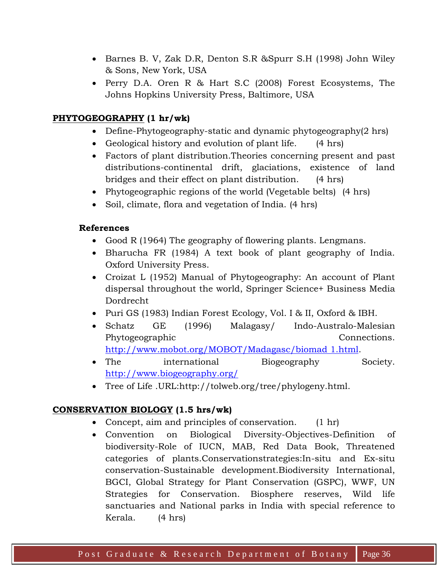- Barnes B. V, Zak D.R, Denton S.R &Spurr S.H (1998) John Wiley & Sons, New York, USA
- Perry D.A. Oren R & Hart S.C (2008) Forest Ecosystems, The Johns Hopkins University Press, Baltimore, USA

## **PHYTOGEOGRAPHY (1 hr/wk)**

- Define-Phytogeography-static and dynamic phytogeography(2 hrs)
- Geological history and evolution of plant life. (4 hrs)
- Factors of plant distribution.Theories concerning present and past distributions-continental drift, glaciations, existence of land bridges and their effect on plant distribution. (4 hrs)
- Phytogeographic regions of the world (Vegetable belts) (4 hrs)
- Soil, climate, flora and vegetation of India. (4 hrs)

## **References**

E

- Good R (1964) The geography of flowering plants. Lengmans.
- Bharucha FR (1984) A text book of plant geography of India. Oxford University Press.
- Croizat L (1952) Manual of Phytogeography: An account of Plant dispersal throughout the world, Springer Science+ Business Media Dordrecht
- Puri GS (1983) Indian Forest Ecology, Vol. I & II, Oxford & IBH.
- Schatz GE (1996) Malagasy/ Indo-Australo-Malesian Phytogeographic Connections. [http://www.mobot.org/MOBOT/Madagasc/biomad 1.html.](http://www.mobot.org/MOBOT/Madagasc/biomad%201.html)
- The international Biogeography Society. <http://www.biogeography.org/>
- Tree of Life .URL:http://tolweb.org/tree/phylogeny.html.

## **CONSERVATION BIOLOGY (1.5 hrs/wk)**

- Concept, aim and principles of conservation. (1 hr)
- Convention on Biological Diversity-Objectives-Definition of biodiversity-Role of IUCN, MAB, Red Data Book, Threatened categories of plants.Conservationstrategies:In-situ and Ex-situ conservation-Sustainable development.Biodiversity International, BGCI, Global Strategy for Plant Conservation (GSPC), WWF, UN Strategies for Conservation. Biosphere reserves, Wild life sanctuaries and National parks in India with special reference to Kerala. (4 hrs)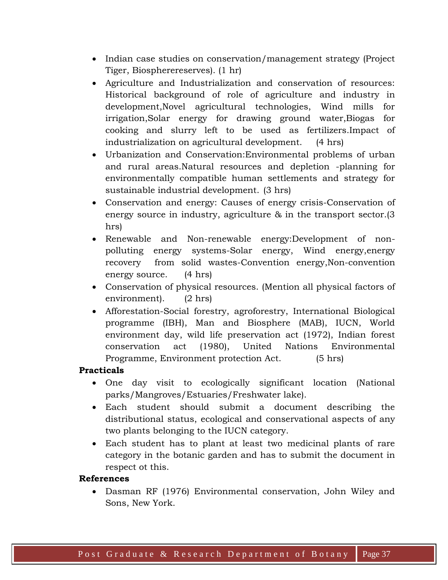- Indian case studies on conservation/management strategy (Project Tiger, Biospherereserves). (1 hr)
- Agriculture and Industrialization and conservation of resources: Historical background of role of agriculture and industry in development,Novel agricultural technologies, Wind mills for irrigation,Solar energy for drawing ground water,Biogas for cooking and slurry left to be used as fertilizers.Impact of industrialization on agricultural development. (4 hrs)
- Urbanization and Conservation:Environmental problems of urban and rural areas.Natural resources and depletion -planning for environmentally compatible human settlements and strategy for sustainable industrial development. (3 hrs)
- Conservation and energy: Causes of energy crisis-Conservation of energy source in industry, agriculture & in the transport sector.(3 hrs)
- Renewable and Non-renewable energy:Development of nonpolluting energy systems-Solar energy, Wind energy,energy recovery from solid wastes-Convention energy,Non-convention energy source. (4 hrs)
- Conservation of physical resources. (Mention all physical factors of environment). (2 hrs)
- Afforestation-Social forestry, agroforestry, International Biological programme (IBH), Man and Biosphere (MAB), IUCN, World environment day, wild life preservation act (1972), Indian forest conservation act (1980), United Nations Environmental Programme, Environment protection Act. (5 hrs)

## **Practicals**

- One day visit to ecologically significant location (National parks/Mangroves/Estuaries/Freshwater lake).
- Each student should submit a document describing the distributional status, ecological and conservational aspects of any two plants belonging to the IUCN category.
- Each student has to plant at least two medicinal plants of rare category in the botanic garden and has to submit the document in respect ot this.

## **References**

E

• Dasman RF (1976) Environmental conservation, John Wiley and Sons, New York.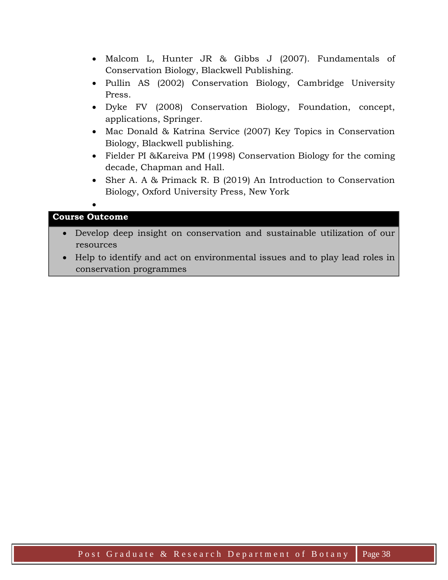- Malcom L, Hunter JR & Gibbs J (2007). Fundamentals of Conservation Biology, Blackwell Publishing.
- Pullin AS (2002) Conservation Biology, Cambridge University Press.
- Dyke FV (2008) Conservation Biology, Foundation, concept, applications, Springer.
- Mac Donald & Katrina Service (2007) Key Topics in Conservation Biology, Blackwell publishing.
- Fielder PI & Kareiva PM (1998) Conservation Biology for the coming decade, Chapman and Hall.
- Sher A. A & Primack R. B (2019) An Introduction to Conservation Biology, Oxford University Press, New York

## **Course Outcome**

•

- Develop deep insight on conservation and sustainable utilization of our resources
- Help to identify and act on environmental issues and to play lead roles in conservation programmes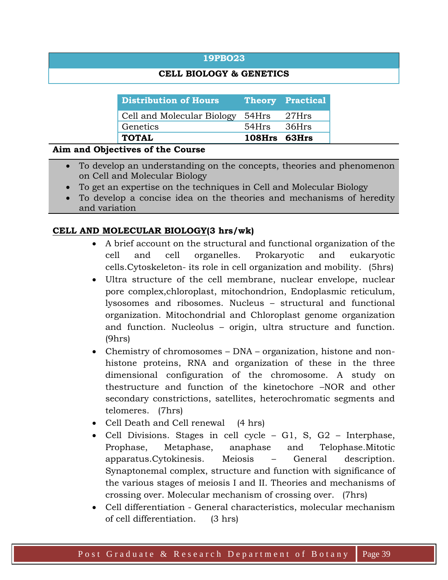#### **19PBO23**

#### **CELL BIOLOGY & GENETICS**

| <b>Distribution of Hours</b> |              | <b>Theory Practical</b> |
|------------------------------|--------------|-------------------------|
| Cell and Molecular Biology   | 54Hrs        | 27Hrs                   |
| Genetics                     | 54Hrs        | - 36Hrs                 |
| <b>TOTAL</b>                 | 108Hrs 63Hrs |                         |

#### **Aim and Objectives of the Course**

- To develop an understanding on the concepts, theories and phenomenon on Cell and Molecular Biology
- To get an expertise on the techniques in Cell and Molecular Biology
- To develop a concise idea on the theories and mechanisms of heredity and variation

## **CELL AND MOLECULAR BIOLOGY(3 hrs/wk)**

- A brief account on the structural and functional organization of the cell and cell organelles. Prokaryotic and eukaryotic cells.Cytoskeleton- its role in cell organization and mobility. (5hrs)
- Ultra structure of the cell membrane, nuclear envelope, nuclear pore complex,chloroplast, mitochondrion, Endoplasmic reticulum, lysosomes and ribosomes. Nucleus – structural and functional organization. Mitochondrial and Chloroplast genome organization and function. Nucleolus – origin, ultra structure and function. (9hrs)
- Chemistry of chromosomes DNA organization, histone and nonhistone proteins, RNA and organization of these in the three dimensional configuration of the chromosome. A study on thestructure and function of the kinetochore –NOR and other secondary constrictions, satellites, heterochromatic segments and telomeres. (7hrs)
- Cell Death and Cell renewal (4 hrs)

- Cell Divisions. Stages in cell cycle G1, S, G2 Interphase, Prophase, Metaphase, anaphase and Telophase.Mitotic apparatus.Cytokinesis. Meiosis – General description. Synaptonemal complex, structure and function with significance of the various stages of meiosis I and II. Theories and mechanisms of crossing over. Molecular mechanism of crossing over. (7hrs)
- Cell differentiation General characteristics, molecular mechanism of cell differentiation. (3 hrs)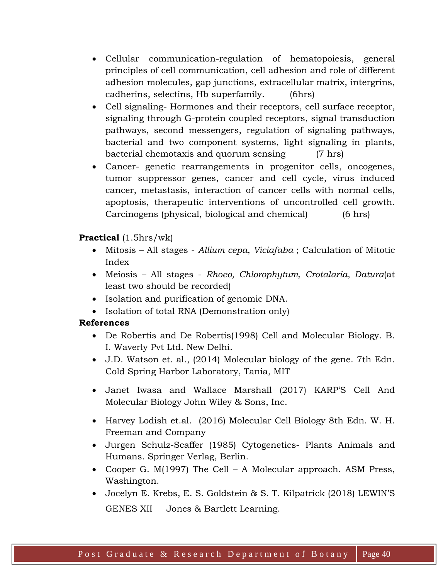- Cellular communication-regulation of hematopoiesis, general principles of cell communication, cell adhesion and role of different adhesion molecules, gap junctions, extracellular matrix, intergrins, cadherins, selectins, Hb superfamily. (6hrs)
- Cell signaling- Hormones and their receptors, cell surface receptor, signaling through G-protein coupled receptors, signal transduction pathways, second messengers, regulation of signaling pathways, bacterial and two component systems, light signaling in plants, bacterial chemotaxis and quorum sensing (7 hrs)
- Cancer- genetic rearrangements in progenitor cells, oncogenes, tumor suppressor genes, cancer and cell cycle, virus induced cancer, metastasis, interaction of cancer cells with normal cells, apoptosis, therapeutic interventions of uncontrolled cell growth. Carcinogens (physical, biological and chemical) (6 hrs)

## **Practical** (1.5hrs/wk)

- Mitosis All stages *Allium cepa*, *Viciafaba* ; Calculation of Mitotic Index
- Meiosis All stages *Rhoeo, Chlorophytum, Crotalaria, Datura*(at least two should be recorded)
- Isolation and purification of genomic DNA.
- Isolation of total RNA (Demonstration only)

## **References**

- De Robertis and De Robertis(1998) Cell and Molecular Biology. B. I. Waverly Pvt Ltd. New Delhi.
- J.D. Watson et. al., (2014) Molecular biology of the gene. 7th Edn. Cold Spring Harbor Laboratory, Tania, MIT
- Janet Iwasa and Wallace Marshall (2017) KARP'S Cell And Molecular Biology John Wiley & Sons, Inc.
- Harvey Lodish et.al. (2016) Molecular Cell Biology 8th Edn. W. H. Freeman and Company
- Jurgen Schulz-Scaffer (1985) Cytogenetics- Plants Animals and Humans. Springer Verlag, Berlin.
- Cooper G. M(1997) The Cell A Molecular approach. ASM Press, Washington.
- Jocelyn E. Krebs, E. S. Goldstein & S. T. Kilpatrick (2018) LEWIN'S GENES XII Jones & Bartlett Learning.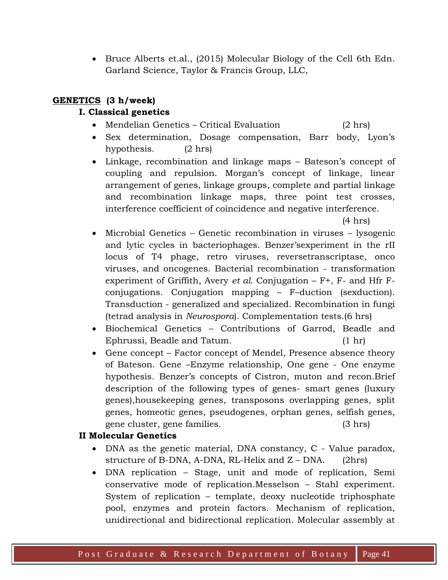• Bruce Alberts et.al., (2015) Molecular Biology of the Cell 6th Edn. Garland Science, Taylor & Francis Group, LLC,

## **GENETICS (3 h/week)**

## **I. Classical genetics**

- Mendelian Genetics Critical Evaluation (2 hrs)
- Sex determination, Dosage compensation, Barr body, Lyon's hypothesis. (2 hrs)
- Linkage, recombination and linkage maps Bateson's concept of coupling and repulsion. Morgan's concept of linkage, linear arrangement of genes, linkage groups, complete and partial linkage and recombination linkage maps, three point test crosses, interference coefficient of coincidence and negative interference.

(4 hrs)

- Microbial Genetics Genetic recombination in viruses lysogenic and lytic cycles in bacteriophages. Benzer'sexperiment in the rII locus of T4 phage, retro viruses, reversetranscriptase, onco viruses, and oncogenes. Bacterial recombination - transformation experiment of Griffith, Avery *et al.* Conjugation – F+, F- and Hfr Fconjugations. Conjugation mapping – F–duction (sexduction). Transduction - generalized and specialized. Recombination in fungi (tetrad analysis in *Neurospora*). Complementation tests.(6 hrs)
- Biochemical Genetics Contributions of Garrod, Beadle and Ephrussi, Beadle and Tatum. (1 hr)
- Gene concept Factor concept of Mendel, Presence absence theory of Bateson. Gene –Enzyme relationship, One gene - One enzyme hypothesis. Benzer's concepts of Cistron, muton and recon.Brief description of the following types of genes- smart genes (luxury genes),housekeeping genes, transposons overlapping genes, split genes, homeotic genes, pseudogenes, orphan genes, selfish genes, gene cluster, gene families. (3 hrs)

## **II Molecular Genetics**

- DNA as the genetic material, DNA constancy, C Value paradox, structure of B-DNA, A-DNA, RL-Helix and  $Z$  – DNA. (2hrs)
- DNA replication Stage, unit and mode of replication, Semi conservative mode of replication.Messelson – Stahl experiment. System of replication – template, deoxy nucleotide triphosphate pool, enzymes and protein factors. Mechanism of replication, unidirectional and bidirectional replication. Molecular assembly at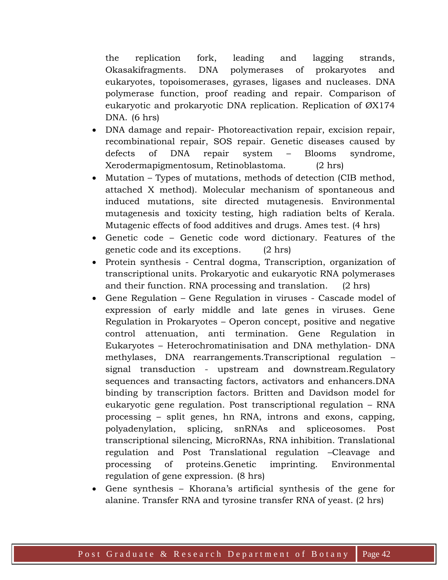the replication fork, leading and lagging strands, Okasakifragments. DNA polymerases of prokaryotes and eukaryotes, topoisomerases, gyrases, ligases and nucleases. DNA polymerase function, proof reading and repair. Comparison of eukaryotic and prokaryotic DNA replication. Replication of ØX174 DNA. (6 hrs)

- DNA damage and repair- Photoreactivation repair, excision repair, recombinational repair, SOS repair. Genetic diseases caused by defects of DNA repair system – Blooms syndrome, Xerodermapigmentosum, Retinoblastoma. (2 hrs)
- Mutation Types of mutations, methods of detection (CIB method, attached X method). Molecular mechanism of spontaneous and induced mutations, site directed mutagenesis. Environmental mutagenesis and toxicity testing, high radiation belts of Kerala. Mutagenic effects of food additives and drugs. Ames test. (4 hrs)
- Genetic code Genetic code word dictionary. Features of the genetic code and its exceptions. (2 hrs)
- Protein synthesis Central dogma, Transcription, organization of transcriptional units. Prokaryotic and eukaryotic RNA polymerases and their function. RNA processing and translation. (2 hrs)
- Gene Regulation Gene Regulation in viruses Cascade model of expression of early middle and late genes in viruses. Gene Regulation in Prokaryotes – Operon concept, positive and negative control attenuation, anti termination. Gene Regulation in Eukaryotes – Heterochromatinisation and DNA methylation- DNA methylases, DNA rearrangements.Transcriptional regulation – signal transduction - upstream and downstream.Regulatory sequences and transacting factors, activators and enhancers.DNA binding by transcription factors. Britten and Davidson model for eukaryotic gene regulation. Post transcriptional regulation – RNA processing – split genes, hn RNA, introns and exons, capping, polyadenylation, splicing, snRNAs and spliceosomes. Post transcriptional silencing, MicroRNAs, RNA inhibition. Translational regulation and Post Translational regulation –Cleavage and processing of proteins.Genetic imprinting. Environmental regulation of gene expression. (8 hrs)
- Gene synthesis Khorana's artificial synthesis of the gene for alanine. Transfer RNA and tyrosine transfer RNA of yeast. (2 hrs)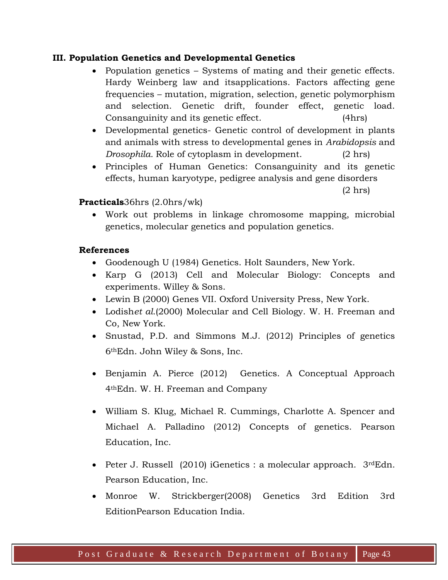## **III. Population Genetics and Developmental Genetics**

- Population genetics Systems of mating and their genetic effects. Hardy Weinberg law and itsapplications. Factors affecting gene frequencies – mutation, migration, selection, genetic polymorphism and selection. Genetic drift, founder effect, genetic load. Consanguinity and its genetic effect. (4hrs)
- Developmental genetics- Genetic control of development in plants and animals with stress to developmental genes in *Arabidopsis* and *Drosophila.* Role of cytoplasm in development. (2 hrs)
- Principles of Human Genetics: Consanguinity and its genetic effects, human karyotype, pedigree analysis and gene disorders

 $(2 \text{ hrs})$ 

## **Practicals**36hrs (2.0hrs/wk)

• Work out problems in linkage chromosome mapping, microbial genetics, molecular genetics and population genetics.

## **References**

- Goodenough U (1984) Genetics. Holt Saunders, New York.
- Karp G (2013) Cell and Molecular Biology: Concepts and experiments. Willey & Sons.
- Lewin B (2000) Genes VII. Oxford University Press, New York.
- Lodish*et al*.(2000) Molecular and Cell Biology. W. H. Freeman and Co, New York.
- Snustad, P.D. and Simmons M.J. (2012) Principles of genetics 6thEdn. John Wiley & Sons, Inc.
- Benjamin A. Pierce (2012) Genetics. A Conceptual Approach 4thEdn. W. H. Freeman and Company
- William S. Klug, Michael R. Cummings, Charlotte A. Spencer and Michael A. Palladino (2012) Concepts of genetics. Pearson Education, Inc.
- Peter J. Russell (2010) iGenetics : a molecular approach.  $3^{rd}Edn$ . Pearson Education, Inc.
- Monroe W. Strickberger(2008) Genetics 3rd Edition 3rd EditionPearson Education India.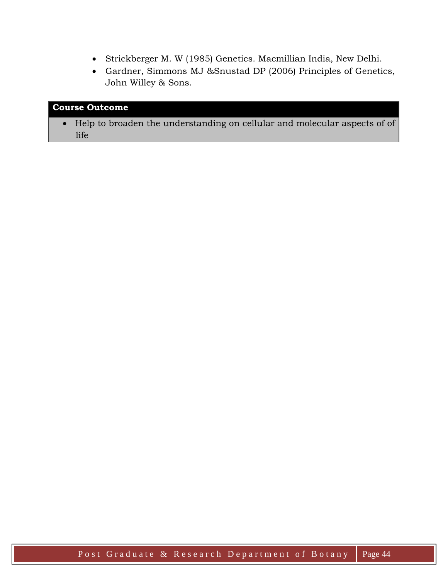- Strickberger M. W (1985) Genetics. Macmillian India, New Delhi.
- Gardner, Simmons MJ &Snustad DP (2006) Principles of Genetics, John Willey & Sons.

## **Course Outcome**

E

• Help to broaden the understanding on cellular and molecular aspects of of life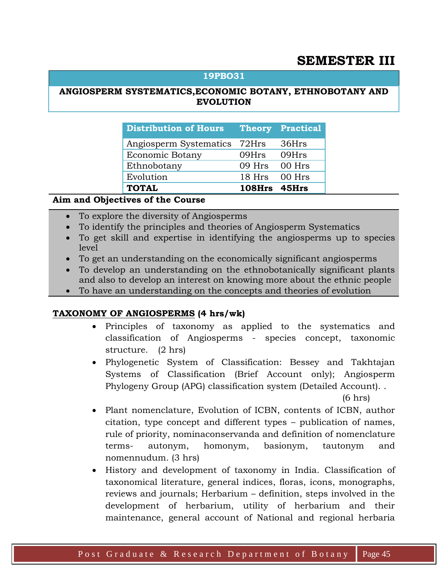# **SEMESTER III**

#### **19PBO31**

#### **ANGIOSPERM SYSTEMATICS,ECONOMIC BOTANY, ETHNOBOTANY AND EVOLUTION**

| <b>Distribution of Hours</b> |              | <b>Theory Practical</b> |
|------------------------------|--------------|-------------------------|
| Angiosperm Systematics       | 72Hrs        | 36Hrs                   |
| <b>Economic Botany</b>       | 09Hrs        | 09Hrs                   |
| Ethnobotany                  | $09$ Hrs     | 00 Hrs                  |
| Evolution                    | 18 Hrs       | 00 Hrs                  |
| <b>TOTAL</b>                 | 108Hrs 45Hrs |                         |

#### **Aim and Objectives of the Course**

- To explore the diversity of Angiosperms
- To identify the principles and theories of Angiosperm Systematics
- To get skill and expertise in identifying the angiosperms up to species level
- To get an understanding on the economically significant angiosperms
- To develop an understanding on the ethnobotanically significant plants and also to develop an interest on knowing more about the ethnic people
- To have an understanding on the concepts and theories of evolution

## **TAXONOMY OF ANGIOSPERMS (4 hrs/wk)**

E

- Principles of taxonomy as applied to the systematics and classification of Angiosperms - species concept, taxonomic structure. (2 hrs)
- Phylogenetic System of Classification: Bessey and Takhtajan Systems of Classification (Brief Account only); Angiosperm Phylogeny Group (APG) classification system (Detailed Account). .

(6 hrs)

- Plant nomenclature, Evolution of ICBN, contents of ICBN, author citation, type concept and different types – publication of names, rule of priority, nominaconservanda and definition of nomenclature terms- autonym, homonym, basionym, tautonym and nomennudum. (3 hrs)
- History and development of taxonomy in India. Classification of taxonomical literature, general indices, floras, icons, monographs, reviews and journals; Herbarium – definition, steps involved in the development of herbarium, utility of herbarium and their maintenance, general account of National and regional herbaria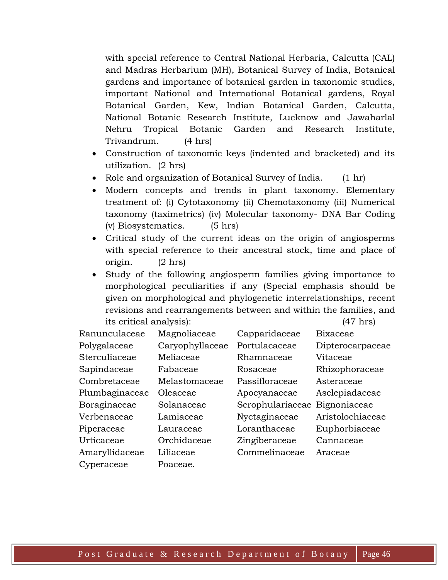with special reference to Central National Herbaria, Calcutta (CAL) and Madras Herbarium (MH), Botanical Survey of India, Botanical gardens and importance of botanical garden in taxonomic studies, important National and International Botanical gardens, Royal Botanical Garden, Kew, Indian Botanical Garden, Calcutta, National Botanic Research Institute, Lucknow and Jawaharlal Nehru Tropical Botanic Garden and Research Institute, Trivandrum. (4 hrs)

- Construction of taxonomic keys (indented and bracketed) and its utilization. (2 hrs)
- Role and organization of Botanical Survey of India. (1 hr)
- Modern concepts and trends in plant taxonomy. Elementary treatment of: (i) Cytotaxonomy (ii) Chemotaxonomy (iii) Numerical taxonomy (taximetrics) (iv) Molecular taxonomy- DNA Bar Coding (v) Biosystematics. (5 hrs)
- Critical study of the current ideas on the origin of angiosperms with special reference to their ancestral stock, time and place of origin. (2 hrs)
- Study of the following angiosperm families giving importance to morphological peculiarities if any (Special emphasis should be given on morphological and phylogenetic interrelationships, recent revisions and rearrangements between and within the families, and its critical analysis): (47 hrs)

| Ranunculaceae  | Magnoliaceae    | Capparidaceae    | <b>Bixaceae</b>  |
|----------------|-----------------|------------------|------------------|
| Polygalaceae   | Caryophyllaceae | Portulacaceae    | Dipterocarpaceae |
| Sterculiaceae  | Meliaceae       | Rhamnaceae       | Vitaceae         |
| Sapindaceae    | Fabaceae        | Rosaceae         | Rhizophoraceae   |
| Combretaceae   | Melastomaceae   | Passifloraceae   | Asteraceae       |
| Plumbaginaceae | Oleaceae        | Apocyanaceae     | Asclepiadaceae   |
| Boraginaceae   | Solanaceae      | Scrophulariaceae | Bignoniaceae     |
| Verbenaceae    | Lamiaceae       | Nyctaginaceae    | Aristolochiaceae |
| Piperaceae     | Lauraceae       | Loranthaceae     | Euphorbiaceae    |
| Urticaceae     | Orchidaceae     | Zingiberaceae    | Cannaceae        |
| Amaryllidaceae | Liliaceae       | Commelinaceae    | Araceae          |
| Cyperaceae     | Poaceae.        |                  |                  |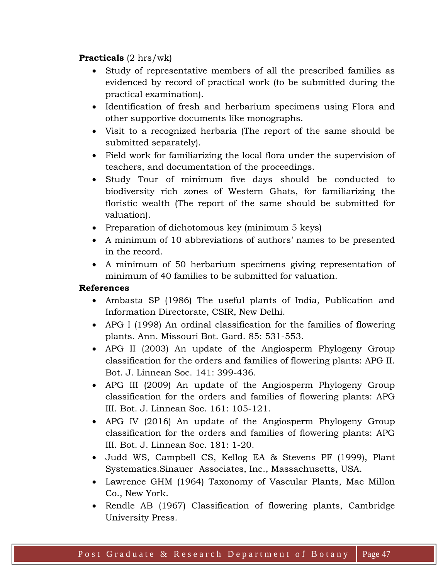## **Practicals** (2 hrs/wk)

- Study of representative members of all the prescribed families as evidenced by record of practical work (to be submitted during the practical examination).
- Identification of fresh and herbarium specimens using Flora and other supportive documents like monographs.
- Visit to a recognized herbaria (The report of the same should be submitted separately).
- Field work for familiarizing the local flora under the supervision of teachers, and documentation of the proceedings.
- Study Tour of minimum five days should be conducted to biodiversity rich zones of Western Ghats, for familiarizing the floristic wealth (The report of the same should be submitted for valuation).
- Preparation of dichotomous key (minimum 5 keys)
- A minimum of 10 abbreviations of authors' names to be presented in the record.
- A minimum of 50 herbarium specimens giving representation of minimum of 40 families to be submitted for valuation.

## **References**

- Ambasta SP (1986) The useful plants of India, Publication and Information Directorate, CSIR, New Delhi.
- APG I (1998) An ordinal classification for the families of flowering plants. Ann. Missouri Bot. Gard. 85: 531-553.
- APG II (2003) An update of the Angiosperm Phylogeny Group classification for the orders and families of flowering plants: APG II. Bot. J. Linnean Soc. 141: 399-436.
- APG III (2009) An update of the Angiosperm Phylogeny Group classification for the orders and families of flowering plants: APG III. Bot. J. Linnean Soc. 161: 105-121.
- APG IV (2016) An update of the Angiosperm Phylogeny Group classification for the orders and families of flowering plants: APG III. Bot. J. Linnean Soc. 181: 1-20.
- Judd WS, Campbell CS, Kellog EA & Stevens PF (1999), Plant Systematics.Sinauer Associates, Inc., Massachusetts, USA.
- Lawrence GHM (1964) Taxonomy of Vascular Plants, Mac Millon Co., New York.
- Rendle AB (1967) Classification of flowering plants, Cambridge University Press.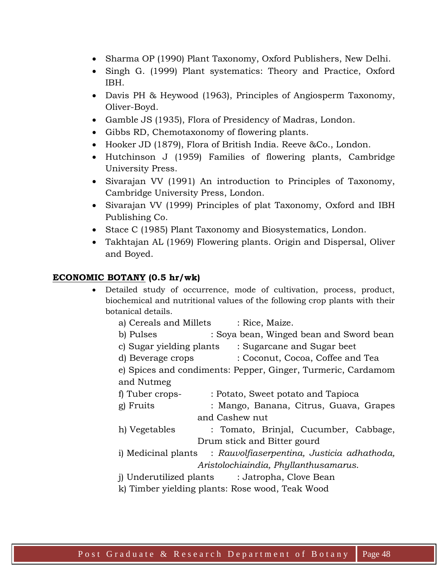- Sharma OP (1990) Plant Taxonomy, Oxford Publishers, New Delhi.
- Singh G. (1999) Plant systematics: Theory and Practice, Oxford IBH.
- Davis PH & Heywood (1963), Principles of Angiosperm Taxonomy, Oliver-Boyd.
- Gamble JS (1935), Flora of Presidency of Madras, London.
- Gibbs RD, Chemotaxonomy of flowering plants.
- Hooker JD (1879), Flora of British India. Reeve &Co., London.
- Hutchinson J (1959) Families of flowering plants, Cambridge University Press.
- Sivarajan VV (1991) An introduction to Principles of Taxonomy, Cambridge University Press, London.
- Sivarajan VV (1999) Principles of plat Taxonomy, Oxford and IBH Publishing Co.
- Stace C (1985) Plant Taxonomy and Biosystematics, London.
- Takhtajan AL (1969) Flowering plants. Origin and Dispersal, Oliver and Boyed.

#### **ECONOMIC BOTANY (0.5 hr/wk)**

E

• Detailed study of occurrence, mode of cultivation, process, product, biochemical and nutritional values of the following crop plants with their botanical details.

| a) Cereals and Millets<br>: Rice, Maize.                       |
|----------------------------------------------------------------|
| b) Pulses<br>: Soya bean, Winged bean and Sword bean           |
| : Sugarcane and Sugar beet<br>c) Sugar yielding plants         |
| : Coconut, Cocoa, Coffee and Tea<br>d) Beverage crops          |
| e) Spices and condiments: Pepper, Ginger, Turmeric, Cardamom   |
| and Nutmeg                                                     |
| f) Tuber crops-<br>: Potato, Sweet potato and Tapioca          |
| : Mango, Banana, Citrus, Guava, Grapes<br>g) Fruits            |
| and Cashew nut                                                 |
| : Tomato, Brinjal, Cucumber, Cabbage,<br>h) Vegetables         |
| Drum stick and Bitter gourd                                    |
| i) Medicinal plants : Rauvolfiaserpentina, Justicia adhathoda, |
| Aristolochiaindia, Phyllanthusamarus.                          |
| i) Underutilized plants : Jatropha, Clove Bean                 |
| k) Timber yielding plants: Rose wood, Teak Wood                |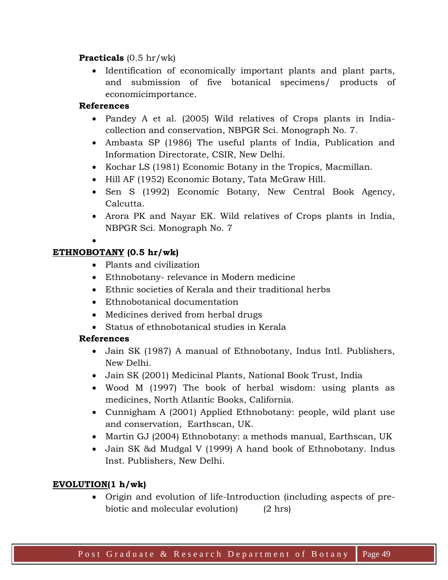## **Practicals** (0.5 hr/wk)

• Identification of economically important plants and plant parts, and submission of five botanical specimens/ products of economicimportance.

## **References**

- Pandey A et al. (2005) Wild relatives of Crops plants in Indiacollection and conservation, NBPGR Sci. Monograph No. 7.
- Ambasta SP (1986) The useful plants of India, Publication and Information Directorate, CSIR, New Delhi.
- Kochar LS (1981) Economic Botany in the Tropics, Macmillan.
- Hill AF (1952) Economic Botany, Tata McGraw Hill.
- Sen S (1992) Economic Botany, New Central Book Agency, Calcutta.
- Arora PK and Nayar EK. Wild relatives of Crops plants in India, NBPGR Sci. Monograph No. 7
- •

## **ETHNOBOTANY (0.5 hr/wk)**

- Plants and civilization
- Ethnobotany- relevance in Modern medicine
- Ethnic societies of Kerala and their traditional herbs
- Ethnobotanical documentation
- Medicines derived from herbal drugs
- Status of ethnobotanical studies in Kerala

## **References**

- Jain SK (1987) A manual of Ethnobotany, Indus Intl. Publishers, New Delhi.
- Jain SK (2001) Medicinal Plants, National Book Trust, India
- Wood M (1997) The book of herbal wisdom: using plants as medicines, North Atlantic Books, California.
- Cunnigham A (2001) Applied Ethnobotany: people, wild plant use and conservation, Earthscan, UK.
- Martin GJ (2004) Ethnobotany: a methods manual, Earthscan, UK
- Jain SK &d Mudgal V (1999) A hand book of Ethnobotany. Indus Inst. Publishers, New Delhi.

## **EVOLUTION(1 h/wk)**

E

• Origin and evolution of life-Introduction (including aspects of prebiotic and molecular evolution (2 hrs)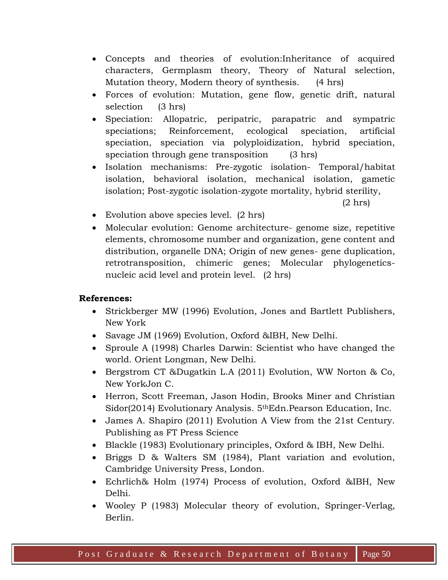- Concepts and theories of evolution:Inheritance of acquired characters, Germplasm theory, Theory of Natural selection, Mutation theory, Modern theory of synthesis. (4 hrs)
- Forces of evolution: Mutation, gene flow, genetic drift, natural selection (3 hrs)
- Speciation: Allopatric, peripatric, parapatric and sympatric speciations; Reinforcement, ecological speciation, artificial speciation, speciation via polyploidization, hybrid speciation, speciation through gene transposition (3 hrs)
- Isolation mechanisms: Pre-zygotic isolation- Temporal/habitat isolation, behavioral isolation, mechanical isolation, gametic isolation; Post-zygotic isolation-zygote mortality, hybrid sterility,

(2 hrs)

- Evolution above species level. (2 hrs)
- Molecular evolution: Genome architecture- genome size, repetitive elements, chromosome number and organization, gene content and distribution, organelle DNA; Origin of new genes- gene duplication, retrotransposition, chimeric genes; Molecular phylogeneticsnucleic acid level and protein level. (2 hrs)

## **References:**

- Strickberger MW (1996) Evolution, Jones and Bartlett Publishers, New York
- Savage JM (1969) Evolution, Oxford &IBH, New Delhi.
- Sproule A (1998) Charles Darwin: Scientist who have changed the world. Orient Longman, New Delhi.
- Bergstrom CT &Dugatkin L.A (2011) Evolution, WW Norton & Co, New YorkJon C.
- Herron, Scott Freeman, Jason Hodin, Brooks Miner and Christian Sidor(2014) Evolutionary Analysis. 5<sup>th</sup>Edn.Pearson Education, Inc.
- James A. Shapiro (2011) Evolution A View from the 21st Century. Publishing as FT Press Science
- Blackle (1983) Evolutionary principles, Oxford & IBH, New Delhi.
- Briggs D & Walters SM (1984), Plant variation and evolution, Cambridge University Press, London.
- Echrlich& Holm (1974) Process of evolution, Oxford &IBH, New Delhi.
- Wooley P (1983) Molecular theory of evolution, Springer-Verlag, Berlin.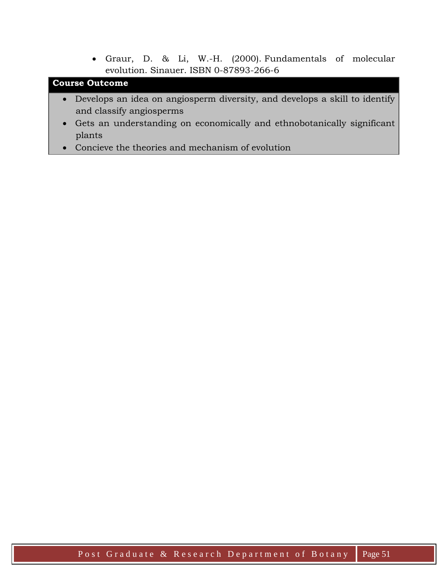• Graur, D. & Li, W.-H. (2000). Fundamentals of molecular evolution. Sinauer. ISBN 0-87893-266-6

## **Course Outcome**

- Develops an idea on angiosperm diversity, and develops a skill to identify and classify angiosperms
- Gets an understanding on economically and ethnobotanically significant plants
- Concieve the theories and mechanism of evolution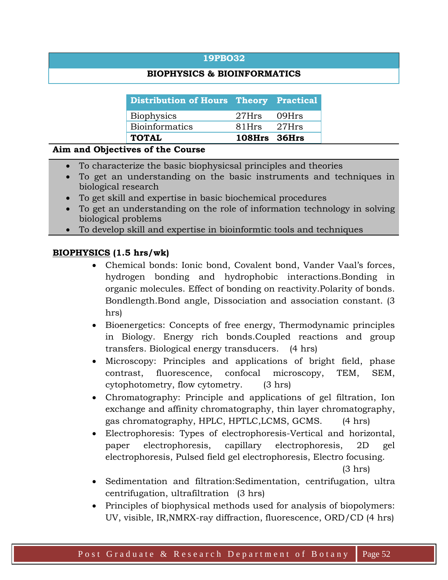#### **19PBO32**

#### **BIOPHYSICS & BIOINFORMATICS**

| Distribution of Hours Theory Practical |              |       |
|----------------------------------------|--------------|-------|
| <b>Biophysics</b>                      | 27Hrs        | 09Hrs |
| <b>Bioinformatics</b>                  | 81Hrs        | 27Hrs |
| <b>TOTAL</b>                           | 108Hrs 36Hrs |       |

#### **Aim and Objectives of the Course**

- To characterize the basic biophysicsal principles and theories
- To get an understanding on the basic instruments and techniques in biological research
- To get skill and expertise in basic biochemical procedures
- To get an understanding on the role of information technology in solving biological problems
- To develop skill and expertise in bioinformtic tools and techniques

## **BIOPHYSICS (1.5 hrs/wk)**

- Chemical bonds: Ionic bond, Covalent bond, Vander Vaal's forces, hydrogen bonding and hydrophobic interactions.Bonding in organic molecules. Effect of bonding on reactivity.Polarity of bonds. Bondlength.Bond angle, Dissociation and association constant. (3 hrs)
- Bioenergetics: Concepts of free energy, Thermodynamic principles in Biology. Energy rich bonds.Coupled reactions and group transfers. Biological energy transducers. (4 hrs)
- Microscopy: Principles and applications of bright field, phase contrast, fluorescence, confocal microscopy, TEM, SEM, cytophotometry, flow cytometry. (3 hrs)
- Chromatography: Principle and applications of gel filtration, Ion exchange and affinity chromatography, thin layer chromatography, gas chromatography, HPLC, HPTLC,LCMS, GCMS. (4 hrs)
- Electrophoresis: Types of electrophoresis-Vertical and horizontal, paper electrophoresis, capillary electrophoresis, 2D gel electrophoresis, Pulsed field gel electrophoresis, Electro focusing. (3 hrs)
- Sedimentation and filtration:Sedimentation, centrifugation, ultra centrifugation, ultrafiltration (3 hrs)
- Principles of biophysical methods used for analysis of biopolymers: UV, visible, IR,NMRX-ray diffraction, fluorescence, ORD/CD (4 hrs)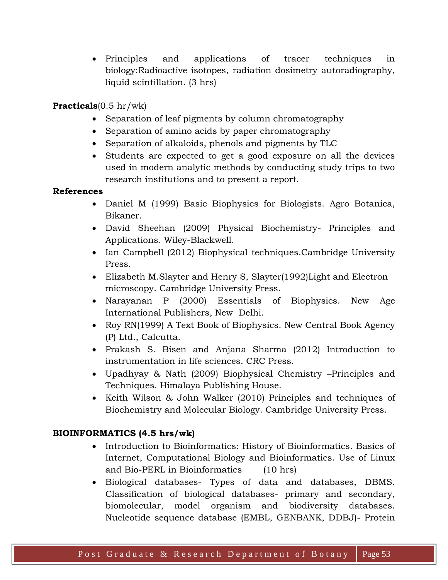• Principles and applications of tracer techniques in biology:Radioactive isotopes, radiation dosimetry autoradiography, liquid scintillation. (3 hrs)

## **Practicals**(0.5 hr/wk)

- Separation of leaf pigments by column chromatography
- Separation of amino acids by paper chromatography
- Separation of alkaloids, phenols and pigments by TLC
- Students are expected to get a good exposure on all the devices used in modern analytic methods by conducting study trips to two research institutions and to present a report.

## **References**

- Daniel M (1999) Basic Biophysics for Biologists. Agro Botanica, Bikaner.
- David Sheehan (2009) Physical Biochemistry- Principles and Applications. Wiley-Blackwell.
- Ian Campbell (2012) Biophysical techniques.Cambridge University Press.
- Elizabeth M.Slayter and Henry S, Slayter(1992)Light and Electron microscopy. Cambridge University Press.
- Narayanan P (2000) Essentials of Biophysics. New Age International Publishers, New Delhi.
- Roy RN(1999) A Text Book of Biophysics. New Central Book Agency (P) Ltd., Calcutta.
- Prakash S. Bisen and Anjana Sharma (2012) Introduction to instrumentation in life sciences. CRC Press.
- Upadhyay & Nath (2009) Biophysical Chemistry –Principles and Techniques. Himalaya Publishing House.
- Keith Wilson & John Walker (2010) Principles and techniques of Biochemistry and Molecular Biology. Cambridge University Press.

## **BIOINFORMATICS (4.5 hrs/wk)**

- Introduction to Bioinformatics: History of Bioinformatics. Basics of Internet, Computational Biology and Bioinformatics. Use of Linux and Bio-PERL in Bioinformatics (10 hrs)
- Biological databases- Types of data and databases, DBMS. Classification of biological databases- primary and secondary, biomolecular, model organism and biodiversity databases. Nucleotide sequence database (EMBL, GENBANK, DDBJ)- Protein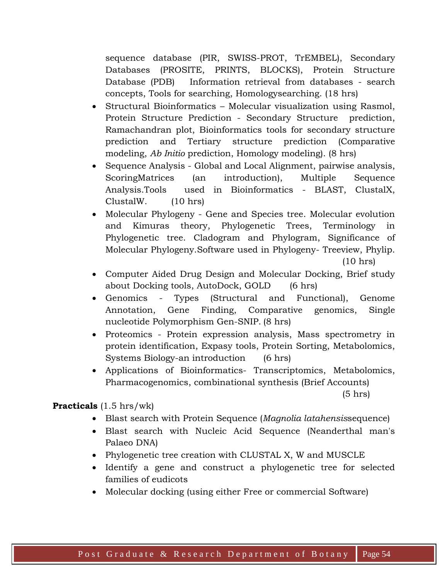sequence database (PIR, SWISS-PROT, TrEMBEL), Secondary Databases (PROSITE, PRINTS, BLOCKS), Protein Structure Database (PDB) Information retrieval from databases - search concepts, Tools for searching, Homologysearching. (18 hrs)

- Structural Bioinformatics Molecular visualization using Rasmol, Protein Structure Prediction - Secondary Structure prediction, Ramachandran plot, Bioinformatics tools for secondary structure prediction and Tertiary structure prediction (Comparative modeling, *Ab Initio* prediction, Homology modeling). (8 hrs)
- Sequence Analysis Global and Local Alignment, pairwise analysis, ScoringMatrices (an introduction), Multiple Sequence Analysis.Tools used in Bioinformatics - BLAST, ClustalX, ClustalW. (10 hrs)
- Molecular Phylogeny Gene and Species tree. Molecular evolution and Kimuras theory, Phylogenetic Trees, Terminology in Phylogenetic tree. Cladogram and Phylogram, Significance of Molecular Phylogeny.Software used in Phylogeny- Treeview, Phylip. (10 hrs)
- Computer Aided Drug Design and Molecular Docking, Brief study about Docking tools, AutoDock, GOLD (6 hrs)
- Genomics Types (Structural and Functional), Genome Annotation, Gene Finding, Comparative genomics, Single nucleotide Polymorphism Gen-SNIP. (8 hrs)
- Proteomics Protein expression analysis, Mass spectrometry in protein identification, Expasy tools, Protein Sorting, Metabolomics, Systems Biology-an introduction (6 hrs)
- Applications of Bioinformatics- Transcriptomics, Metabolomics, Pharmacogenomics, combinational synthesis (Brief Accounts)

(5 hrs)

## **Practicals** (1.5 hrs/wk)

- Blast search with Protein Sequence (*Magnolia latahensis*sequence)
- Blast search with Nucleic Acid Sequence (Neanderthal man's Palaeo DNA)
- Phylogenetic tree creation with CLUSTAL X, W and MUSCLE
- Identify a gene and construct a phylogenetic tree for selected families of eudicots
- Molecular docking (using either Free or commercial Software)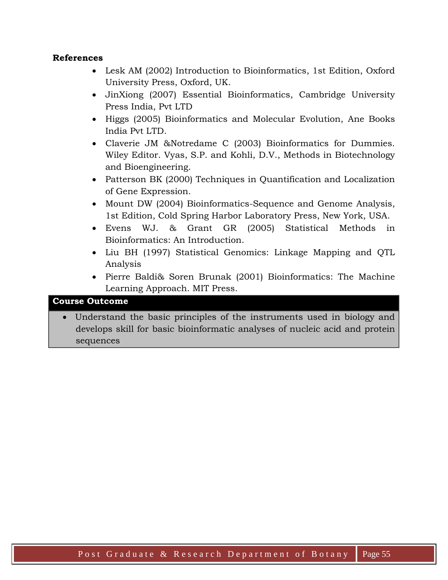#### **References**

- Lesk AM (2002) Introduction to Bioinformatics, 1st Edition, Oxford University Press, Oxford, UK.
- JinXiong (2007) Essential Bioinformatics, Cambridge University Press India, Pvt LTD
- Higgs (2005) Bioinformatics and Molecular Evolution, Ane Books India Pvt LTD.
- Claverie JM &Notredame C (2003) Bioinformatics for Dummies. Wiley Editor. Vyas, S.P. and Kohli, D.V., Methods in Biotechnology and Bioengineering.
- Patterson BK (2000) Techniques in Quantification and Localization of Gene Expression.
- Mount DW (2004) Bioinformatics-Sequence and Genome Analysis, 1st Edition, Cold Spring Harbor Laboratory Press, New York, USA.
- Evens WJ. & Grant GR (2005) Statistical Methods in Bioinformatics: An Introduction.
- Liu BH (1997) Statistical Genomics: Linkage Mapping and QTL Analysis
- Pierre Baldi& Soren Brunak (2001) Bioinformatics: The Machine Learning Approach. MIT Press.

#### **Course Outcome**

E

• Understand the basic principles of the instruments used in biology and develops skill for basic bioinformatic analyses of nucleic acid and protein sequences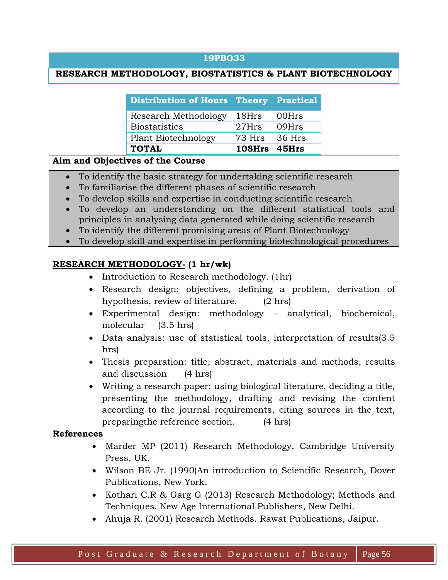#### **19PBO33**

#### **RESEARCH METHODOLOGY, BIOSTATISTICS & PLANT BIOTECHNOLOGY**

| <b>Distribution of Hours Theory Practical</b> |              |        |
|-----------------------------------------------|--------------|--------|
| Research Methodology                          | 18Hrs        | 00Hrs  |
| <b>Biostatistics</b>                          | 27Hrs        | 09Hrs  |
| <b>Plant Biotechnology</b>                    | 73 Hrs       | 36 Hrs |
| <b>TOTAL</b>                                  | 108Hrs 45Hrs |        |

#### **Aim and Objectives of the Course**

- To identify the basic strategy for undertaking scientific research
- To familiarise the different phases of scientific research
- To develop skills and expertise in conducting scientific research
- To develop an understanding on the different statistical tools and principles in analysing data generated while doing scientific research
- To identify the different promising areas of Plant Biotechnology
- To develop skill and expertise in performing biotechnological procedures

## **RESEARCH METHODOLOGY- (1 hr/wk)**

- Introduction to Research methodology. (1hr)
- Research design: objectives, defining a problem, derivation of hypothesis, review of literature. (2 hrs)
- Experimental design: methodology analytical, biochemical, molecular (3.5 hrs)
- Data analysis: use of statistical tools, interpretation of results(3.5 hrs)
- Thesis preparation: title, abstract, materials and methods, results and discussion (4 hrs)
- Writing a research paper: using biological literature, deciding a title, presenting the methodology, drafting and revising the content according to the journal requirements, citing sources in the text, preparingthe reference section. (4 hrs)

#### **References**

- Marder MP (2011) Research Methodology, Cambridge University Press, UK.
- Wilson BE Jr. (1990)An introduction to Scientific Research, Dover Publications, New York.
- Kothari C.R & Garg G (2013) Research Methodology; Methods and Techniques. New Age International Publishers, New Delhi.
- Ahuja R. (2001) Research Methods. Rawat Publications, Jaipur.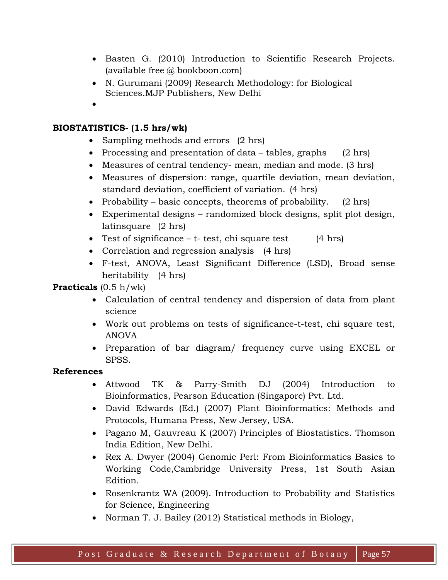- Basten G. (2010) Introduction to Scientific Research Projects. (available free @ bookboon.com)
- N. Gurumani (2009) Research Methodology: for Biological Sciences.MJP Publishers, New Delhi
- •

## **BIOSTATISTICS- (1.5 hrs/wk)**

- Sampling methods and errors (2 hrs)
- Processing and presentation of data tables, graphs (2 hrs)
- Measures of central tendency- mean, median and mode. (3 hrs)
- Measures of dispersion: range, quartile deviation, mean deviation, standard deviation, coefficient of variation. (4 hrs)
- Probability basic concepts, theorems of probability.  $(2 \text{ hrs})$
- Experimental designs randomized block designs, split plot design, latinsquare (2 hrs)
- Test of significance  $t$  test, chi square test (4 hrs)
- Correlation and regression analysis (4 hrs)
- F-test, ANOVA, Least Significant Difference (LSD), Broad sense heritability (4 hrs)

## **Practicals** (0.5 h/wk)

- Calculation of central tendency and dispersion of data from plant science
- Work out problems on tests of significance-t-test, chi square test, ANOVA
- Preparation of bar diagram/ frequency curve using EXCEL or SPSS.

## **References**

- Attwood TK & Parry-Smith DJ (2004) Introduction to Bioinformatics, Pearson Education (Singapore) Pvt. Ltd.
- David Edwards (Ed.) (2007) Plant Bioinformatics: Methods and Protocols, Humana Press, New Jersey, USA.
- Pagano M, Gauvreau K (2007) Principles of Biostatistics. Thomson India Edition, New Delhi.
- Rex A. Dwyer (2004) Genomic Perl: From Bioinformatics Basics to Working Code,Cambridge University Press, 1st South Asian Edition.
- Rosenkrantz WA (2009). Introduction to Probability and Statistics for Science, Engineering
- Norman T. J. Bailey (2012) Statistical methods in Biology,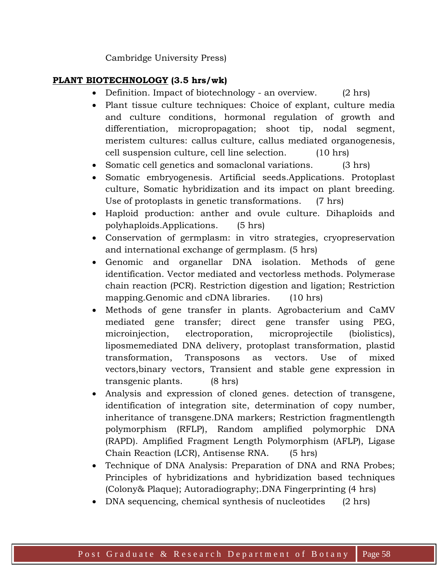Cambridge University Press)

## **PLANT BIOTECHNOLOGY (3.5 hrs/wk)**

- Definition. Impact of biotechnology an overview. (2 hrs)
- Plant tissue culture techniques: Choice of explant, culture media and culture conditions, hormonal regulation of growth and differentiation, micropropagation; shoot tip, nodal segment, meristem cultures: callus culture, callus mediated organogenesis, cell suspension culture, cell line selection. (10 hrs)
- Somatic cell genetics and somaclonal variations. (3 hrs)
- Somatic embryogenesis. Artificial seeds.Applications. Protoplast culture, Somatic hybridization and its impact on plant breeding. Use of protoplasts in genetic transformations. (7 hrs)
- Haploid production: anther and ovule culture. Dihaploids and polyhaploids.Applications. (5 hrs)
- Conservation of germplasm: in vitro strategies, cryopreservation and international exchange of germplasm. (5 hrs)
- Genomic and organellar DNA isolation. Methods of gene identification. Vector mediated and vectorless methods. Polymerase chain reaction (PCR). Restriction digestion and ligation; Restriction mapping. Genomic and cDNA libraries. (10 hrs)
- Methods of gene transfer in plants. Agrobacterium and CaMV mediated gene transfer; direct gene transfer using PEG, microinjection, electroporation, microprojectile (biolistics), liposmemediated DNA delivery, protoplast transformation, plastid transformation, Transposons as vectors. Use of mixed vectors,binary vectors, Transient and stable gene expression in transgenic plants. (8 hrs)
- Analysis and expression of cloned genes. detection of transgene, identification of integration site, determination of copy number, inheritance of transgene.DNA markers; Restriction fragmentlength polymorphism (RFLP), Random amplified polymorphic DNA (RAPD). Amplified Fragment Length Polymorphism (AFLP), Ligase Chain Reaction (LCR), Antisense RNA. (5 hrs)
- Technique of DNA Analysis: Preparation of DNA and RNA Probes; Principles of hybridizations and hybridization based techniques (Colony& Plaque); Autoradiography;.DNA Fingerprinting (4 hrs)
- DNA sequencing, chemical synthesis of nucleotides (2 hrs)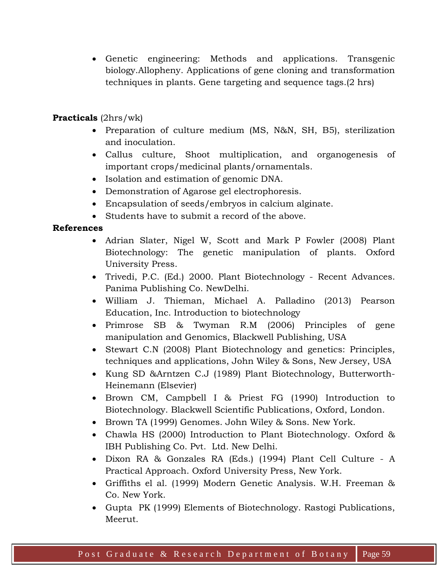• Genetic engineering: Methods and applications. Transgenic biology.Allopheny. Applications of gene cloning and transformation techniques in plants. Gene targeting and sequence tags.(2 hrs)

## **Practicals** (2hrs/wk)

- Preparation of culture medium (MS, N&N, SH, B5), sterilization and inoculation.
- Callus culture, Shoot multiplication, and organogenesis of important crops/medicinal plants/ornamentals.
- Isolation and estimation of genomic DNA.
- Demonstration of Agarose gel electrophoresis.
- Encapsulation of seeds/embryos in calcium alginate.
- Students have to submit a record of the above.

## **References**

- Adrian Slater, Nigel W, Scott and Mark P Fowler (2008) Plant Biotechnology: The genetic manipulation of plants. Oxford University Press.
- Trivedi, P.C. (Ed.) 2000. Plant Biotechnology Recent Advances. Panima Publishing Co. NewDelhi.
- William J. Thieman, Michael A. Palladino (2013) Pearson Education, Inc. Introduction to biotechnology
- Primrose SB & Twyman R.M (2006) Principles of gene manipulation and Genomics, Blackwell Publishing, USA
- Stewart C.N (2008) Plant Biotechnology and genetics: Principles, techniques and applications, John Wiley & Sons, New Jersey, USA
- Kung SD &Arntzen C.J (1989) Plant Biotechnology, Butterworth-Heinemann (Elsevier)
- Brown CM, Campbell I & Priest FG (1990) Introduction to Biotechnology. Blackwell Scientific Publications, Oxford, London.
- Brown TA (1999) Genomes. John Wiley & Sons. New York.
- Chawla HS (2000) Introduction to Plant Biotechnology. Oxford & IBH Publishing Co. Pvt. Ltd. New Delhi.
- Dixon RA & Gonzales RA (Eds.) (1994) Plant Cell Culture A Practical Approach. Oxford University Press, New York.
- Griffiths el al. (1999) Modern Genetic Analysis. W.H. Freeman & Co. New York.
- Gupta PK (1999) Elements of Biotechnology. Rastogi Publications, Meerut.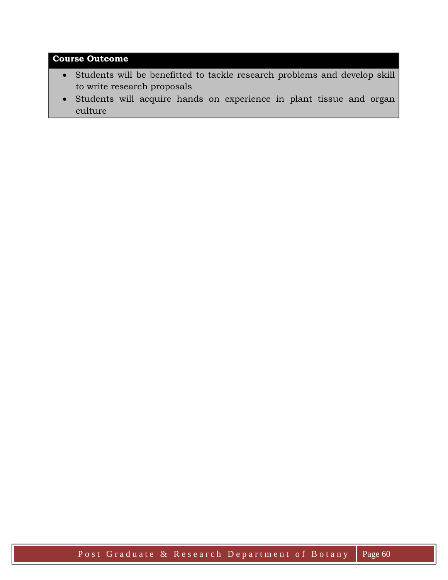## **Course Outcome**

- Students will be benefitted to tackle research problems and develop skill to write research proposals
- Students will acquire hands on experience in plant tissue and organ culture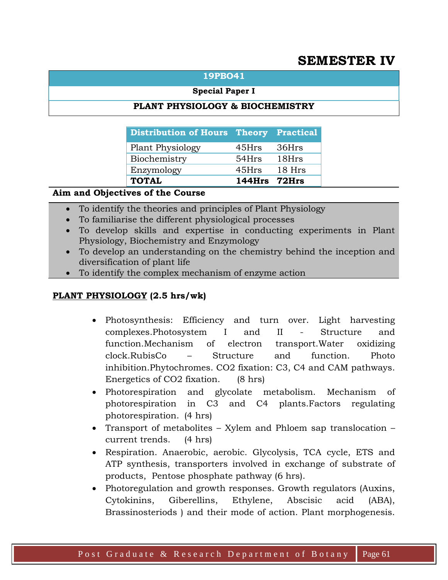# **SEMESTER IV**

## **19PBO41**

#### **Special Paper I**

## **PLANT PHYSIOLOGY & BIOCHEMISTRY**

| <b>Distribution of Hours Theory Practical</b> |              |        |
|-----------------------------------------------|--------------|--------|
| <b>Plant Physiology</b>                       | 45Hrs        | 36Hrs  |
| Biochemistry                                  | 54Hrs        | 18Hrs  |
| Enzymology                                    | 45Hrs        | 18 Hrs |
| <b>TOTAL</b>                                  | 144Hrs 72Hrs |        |

## **Aim and Objectives of the Course**

- To identify the theories and principles of Plant Physiology
- To familiarise the different physiological processes
- To develop skills and expertise in conducting experiments in Plant Physiology, Biochemistry and Enzymology
- To develop an understanding on the chemistry behind the inception and diversification of plant life
- To identify the complex mechanism of enzyme action

## **PLANT PHYSIOLOGY (2.5 hrs/wk)**

- Photosynthesis: Efficiency and turn over. Light harvesting complexes.Photosystem I and II - Structure and function.Mechanism of electron transport.Water oxidizing clock.RubisCo – Structure and function. Photo inhibition.Phytochromes. CO2 fixation: C3, C4 and CAM pathways. Energetics of CO2 fixation. (8 hrs)
- Photorespiration and glycolate metabolism. Mechanism of photorespiration in C3 and C4 plants.Factors regulating photorespiration. (4 hrs)
- Transport of metabolites Xylem and Phloem sap translocation current trends. (4 hrs)
- Respiration. Anaerobic, aerobic. Glycolysis, TCA cycle, ETS and ATP synthesis, transporters involved in exchange of substrate of products, Pentose phosphate pathway (6 hrs).
- Photoregulation and growth responses. Growth regulators (Auxins, Cytokinins, Giberellins, Ethylene, Abscisic acid (ABA), Brassinosteriods ) and their mode of action. Plant morphogenesis.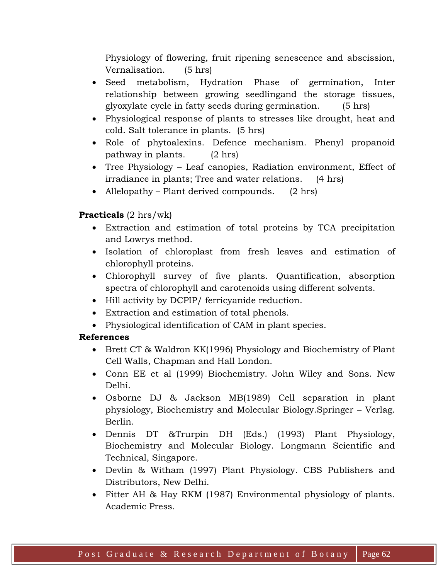Physiology of flowering, fruit ripening senescence and abscission, Vernalisation. (5 hrs)

- Seed metabolism, Hydration Phase of germination, Inter relationship between growing seedlingand the storage tissues, glyoxylate cycle in fatty seeds during germination. (5 hrs)
- Physiological response of plants to stresses like drought, heat and cold. Salt tolerance in plants. (5 hrs)
- Role of phytoalexins. Defence mechanism. Phenyl propanoid pathway in plants. (2 hrs)
- Tree Physiology Leaf canopies, Radiation environment, Effect of irradiance in plants; Tree and water relations. (4 hrs)
- Allelopathy Plant derived compounds. (2 hrs)

## **Practicals** (2 hrs/wk)

- Extraction and estimation of total proteins by TCA precipitation and Lowrys method.
- Isolation of chloroplast from fresh leaves and estimation of chlorophyll proteins.
- Chlorophyll survey of five plants. Quantification, absorption spectra of chlorophyll and carotenoids using different solvents.
- Hill activity by DCPIP/ ferricyanide reduction.
- Extraction and estimation of total phenols.
- Physiological identification of CAM in plant species.

## **References**

- Brett CT & Waldron KK(1996) Physiology and Biochemistry of Plant Cell Walls, Chapman and Hall London.
- Conn EE et al (1999) Biochemistry. John Wiley and Sons. New Delhi.
- Osborne DJ & Jackson MB(1989) Cell separation in plant physiology, Biochemistry and Molecular Biology.Springer – Verlag. Berlin.
- Dennis DT &Trurpin DH (Eds.) (1993) Plant Physiology, Biochemistry and Molecular Biology. Longmann Scientific and Technical, Singapore.
- Devlin & Witham (1997) Plant Physiology. CBS Publishers and Distributors, New Delhi.
- Fitter AH & Hay RKM (1987) Environmental physiology of plants. Academic Press.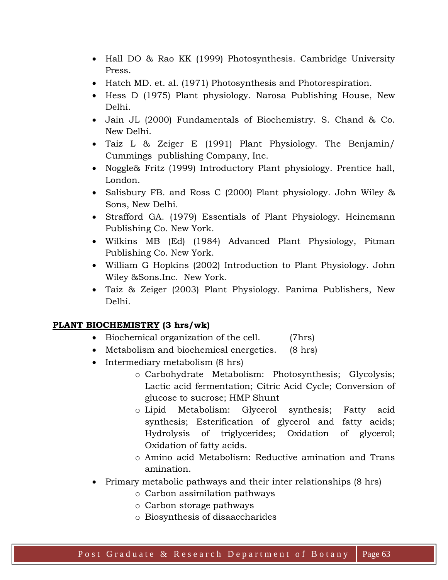- Hall DO & Rao KK (1999) Photosynthesis. Cambridge University Press.
- Hatch MD. et. al. (1971) Photosynthesis and Photorespiration.
- Hess D (1975) Plant physiology. Narosa Publishing House, New Delhi.
- Jain JL (2000) Fundamentals of Biochemistry. S. Chand & Co. New Delhi.
- Taiz L & Zeiger E (1991) Plant Physiology. The Benjamin/ Cummings publishing Company, Inc.
- Noggle& Fritz (1999) Introductory Plant physiology. Prentice hall, London.
- Salisbury FB. and Ross C (2000) Plant physiology. John Wiley & Sons, New Delhi.
- Strafford GA. (1979) Essentials of Plant Physiology. Heinemann Publishing Co. New York.
- Wilkins MB (Ed) (1984) Advanced Plant Physiology, Pitman Publishing Co. New York.
- William G Hopkins (2002) Introduction to Plant Physiology. John Wiley &Sons.Inc. New York.
- Taiz & Zeiger (2003) Plant Physiology. Panima Publishers, New Delhi.

## **PLANT BIOCHEMISTRY (3 hrs/wk)**

- Biochemical organization of the cell. (7hrs)
- Metabolism and biochemical energetics. (8 hrs)
- Intermediary metabolism (8 hrs)
	- o Carbohydrate Metabolism: Photosynthesis; Glycolysis; Lactic acid fermentation; Citric Acid Cycle; Conversion of glucose to sucrose; HMP Shunt
	- o Lipid Metabolism: Glycerol synthesis; Fatty acid synthesis; Esterification of glycerol and fatty acids; Hydrolysis of triglycerides; Oxidation of glycerol; Oxidation of fatty acids.
	- o Amino acid Metabolism: Reductive amination and Trans amination.
- Primary metabolic pathways and their inter relationships (8 hrs)
	- o Carbon assimilation pathways
	- o Carbon storage pathways
	- o Biosynthesis of disaaccharides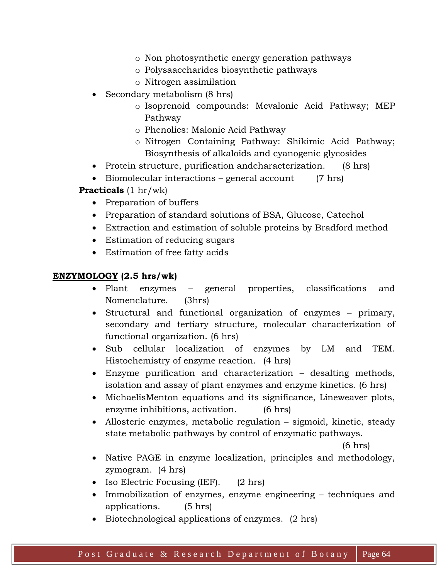- o Non photosynthetic energy generation pathways
- o Polysaaccharides biosynthetic pathways
- o Nitrogen assimilation
- Secondary metabolism (8 hrs)
	- o Isoprenoid compounds: Mevalonic Acid Pathway; MEP Pathway
	- o Phenolics: Malonic Acid Pathway
	- o Nitrogen Containing Pathway: Shikimic Acid Pathway; Biosynthesis of alkaloids and cyanogenic glycosides
- Protein structure, purification and characterization. (8 hrs)
- Biomolecular interactions general account (7 hrs)

## **Practicals** (1 hr/wk)

- Preparation of buffers
- Preparation of standard solutions of BSA, Glucose, Catechol
- Extraction and estimation of soluble proteins by Bradford method
- Estimation of reducing sugars
- Estimation of free fatty acids

## **ENZYMOLOGY (2.5 hrs/wk)**

E

- Plant enzymes general properties, classifications and Nomenclature. (3hrs)
- Structural and functional organization of enzymes primary, secondary and tertiary structure, molecular characterization of functional organization. (6 hrs)
- Sub cellular localization of enzymes by LM and TEM. Histochemistry of enzyme reaction. (4 hrs)
- Enzyme purification and characterization desalting methods, isolation and assay of plant enzymes and enzyme kinetics. (6 hrs)
- MichaelisMenton equations and its significance, Lineweaver plots, enzyme inhibitions, activation. (6 hrs)
- Allosteric enzymes, metabolic regulation sigmoid, kinetic, steady state metabolic pathways by control of enzymatic pathways.

(6 hrs)

- Native PAGE in enzyme localization, principles and methodology, zymogram. (4 hrs)
- Iso Electric Focusing (IEF). (2 hrs)
- Immobilization of enzymes, enzyme engineering techniques and applications. (5 hrs)
- Biotechnological applications of enzymes. (2 hrs)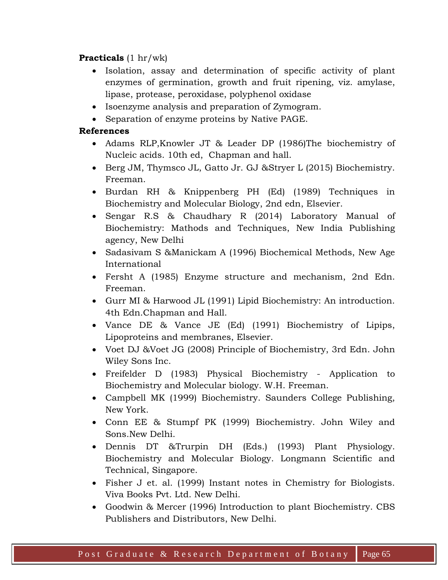## **Practicals** (1 hr/wk)

- Isolation, assay and determination of specific activity of plant enzymes of germination, growth and fruit ripening, viz. amylase, lipase, protease, peroxidase, polyphenol oxidase
- Isoenzyme analysis and preparation of Zymogram.
- Separation of enzyme proteins by Native PAGE.

## **References**

- Adams RLP,Knowler JT & Leader DP (1986)The biochemistry of Nucleic acids. 10th ed, Chapman and hall.
- Berg JM, Thymsco JL, Gatto Jr. GJ &Stryer L (2015) Biochemistry. Freeman.
- Burdan RH & Knippenberg PH (Ed) (1989) Techniques in Biochemistry and Molecular Biology, 2nd edn, Elsevier.
- Sengar R.S & Chaudhary R (2014) Laboratory Manual of Biochemistry: Mathods and Techniques, New India Publishing agency, New Delhi
- Sadasivam S &Manickam A (1996) Biochemical Methods, New Age International
- Fersht A (1985) Enzyme structure and mechanism, 2nd Edn. Freeman.
- Gurr MI & Harwood JL (1991) Lipid Biochemistry: An introduction. 4th Edn.Chapman and Hall.
- Vance DE & Vance JE (Ed) (1991) Biochemistry of Lipips, Lipoproteins and membranes, Elsevier.
- Voet DJ &Voet JG (2008) Principle of Biochemistry, 3rd Edn. John Wiley Sons Inc.
- Freifelder D (1983) Physical Biochemistry Application to Biochemistry and Molecular biology. W.H. Freeman.
- Campbell MK (1999) Biochemistry. Saunders College Publishing, New York.
- Conn EE & Stumpf PK (1999) Biochemistry. John Wiley and Sons.New Delhi.
- Dennis DT &Trurpin DH (Eds.) (1993) Plant Physiology. Biochemistry and Molecular Biology. Longmann Scientific and Technical, Singapore.
- Fisher J et. al. (1999) Instant notes in Chemistry for Biologists. Viva Books Pvt. Ltd. New Delhi.
- Goodwin & Mercer (1996) Introduction to plant Biochemistry. CBS Publishers and Distributors, New Delhi.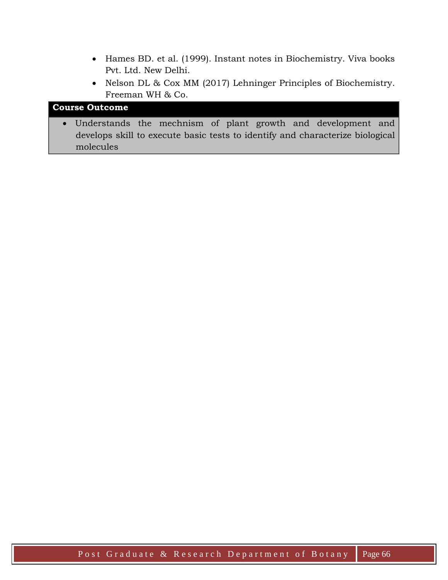- Hames BD. et al. (1999). Instant notes in Biochemistry. Viva books Pvt. Ltd. New Delhi.
- Nelson DL & Cox MM (2017) Lehninger Principles of Biochemistry. Freeman WH & Co.

## **Course Outcome**

E

• Understands the mechnism of plant growth and development and develops skill to execute basic tests to identify and characterize biological molecules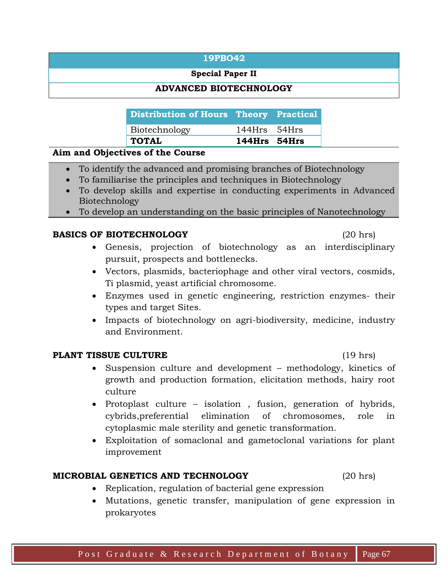#### **19PBO42**

#### **Special Paper II**

## **ADVANCED BIOTECHNOLOGY**

| <b>TOTAL</b>                           | 144Hrs 54Hrs |  |
|----------------------------------------|--------------|--|
| Biotechnology                          | 144Hrs 54Hrs |  |
| Distribution of Hours Theory Practical |              |  |

#### **Aim and Objectives of the Course**

- To identify the advanced and promising branches of Biotechnology
- To familiarise the principles and techniques in Biotechnology
- To develop skills and expertise in conducting experiments in Advanced Biotechnology
- To develop an understanding on the basic principles of Nanotechnology

#### **BASICS OF BIOTECHNOLOGY** (20 hrs)

- Genesis, projection of biotechnology as an interdisciplinary pursuit, prospects and bottlenecks.
- Vectors, plasmids, bacteriophage and other viral vectors, cosmids, Ti plasmid, yeast artificial chromosome.
- Enzymes used in genetic engineering, restriction enzymes- their types and target Sites.
- Impacts of biotechnology on agri-biodiversity, medicine, industry and Environment.

#### **PLANT TISSUE CULTURE** (19 hrs)

E

- Suspension culture and development methodology, kinetics of growth and production formation, elicitation methods, hairy root culture
- Protoplast culture isolation , fusion, generation of hybrids, cybrids,preferential elimination of chromosomes, role in cytoplasmic male sterility and genetic transformation.
- Exploitation of somaclonal and gametoclonal variations for plant improvement

## **MICROBIAL GENETICS AND TECHNOLOGY** (20 hrs)

- Replication, regulation of bacterial gene expression
- Mutations, genetic transfer, manipulation of gene expression in prokaryotes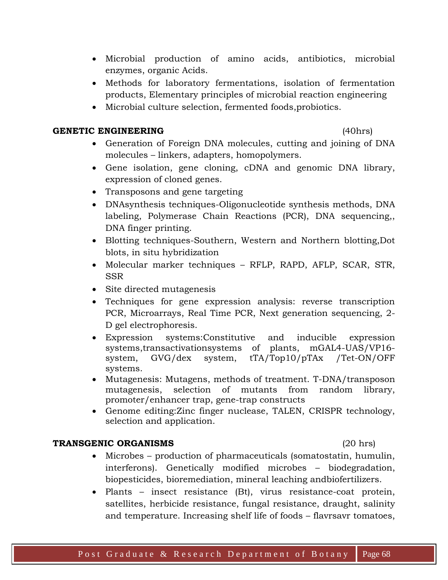Post Graduate & Research Department of Botany Page 68

- Microbial production of amino acids, antibiotics, microbial enzymes, organic Acids.
- Methods for laboratory fermentations, isolation of fermentation products, Elementary principles of microbial reaction engineering
- Microbial culture selection, fermented foods,probiotics.

## **GENETIC ENGINEERING** (40hrs)

- Generation of Foreign DNA molecules, cutting and joining of DNA molecules – linkers, adapters, homopolymers.
- Gene isolation, gene cloning, cDNA and genomic DNA library, expression of cloned genes.
- Transposons and gene targeting
- DNAsynthesis techniques-Oligonucleotide synthesis methods, DNA labeling, Polymerase Chain Reactions (PCR), DNA sequencing,, DNA finger printing.
- Blotting techniques-Southern, Western and Northern blotting,Dot blots, in situ hybridization
- Molecular marker techniques RFLP, RAPD, AFLP, SCAR, STR, SSR
- Site directed mutagenesis
- Techniques for gene expression analysis: reverse transcription PCR, Microarrays, Real Time PCR, Next generation sequencing, 2- D gel electrophoresis.
- Expression systems:Constitutive and inducible expression systems,transactivationsystems of plants, mGAL4-UAS/VP16 system, GVG/dex system, tTA/Top10/pTAx /Tet-ON/OFF systems.
- Mutagenesis: Mutagens, methods of treatment. T-DNA/transposon mutagenesis, selection of mutants from random library, promoter/enhancer trap, gene-trap constructs
- Genome editing:Zinc finger nuclease, TALEN, CRISPR technology, selection and application.

## **TRANSGENIC ORGANISMS** (20 hrs)

- Microbes production of pharmaceuticals (somatostatin, humulin, interferons). Genetically modified microbes – biodegradation, biopesticides, bioremediation, mineral leaching andbiofertilizers.
- Plants insect resistance (Bt), virus resistance-coat protein, satellites, herbicide resistance, fungal resistance, draught, salinity and temperature. Increasing shelf life of foods – flavrsavr tomatoes,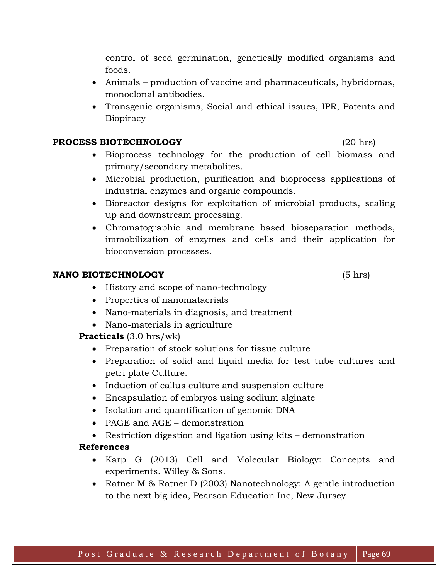control of seed germination, genetically modified organisms and foods.

- Animals production of vaccine and pharmaceuticals, hybridomas, monoclonal antibodies.
- Transgenic organisms, Social and ethical issues, IPR, Patents and **Biopiracy**

## **PROCESS BIOTECHNOLOGY** (20 hrs)

- Bioprocess technology for the production of cell biomass and primary/secondary metabolites.
- Microbial production, purification and bioprocess applications of industrial enzymes and organic compounds.
- Bioreactor designs for exploitation of microbial products, scaling up and downstream processing.
- Chromatographic and membrane based bioseparation methods, immobilization of enzymes and cells and their application for bioconversion processes.

## **NANO BIOTECHNOLOGY** (5 hrs)

- History and scope of nano-technology
- Properties of nanomataerials
- Nano-materials in diagnosis, and treatment
- Nano-materials in agriculture

## **Practicals** (3.0 hrs/wk)

- Preparation of stock solutions for tissue culture
- Preparation of solid and liquid media for test tube cultures and petri plate Culture.
- Induction of callus culture and suspension culture
- Encapsulation of embryos using sodium alginate
- Isolation and quantification of genomic DNA
- PAGE and AGE demonstration
- Restriction digestion and ligation using kits demonstration

## **References**

- Karp G (2013) Cell and Molecular Biology: Concepts and experiments. Willey & Sons.
- Ratner M & Ratner D (2003) Nanotechnology: A gentle introduction to the next big idea, Pearson Education Inc, New Jursey